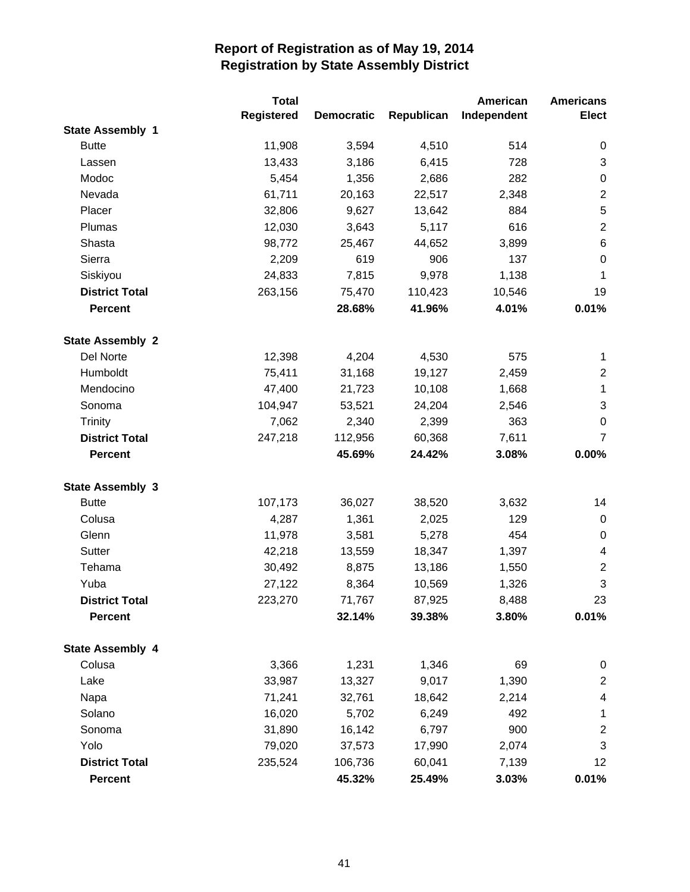|                         | <b>Total</b> |                   |            | <b>American</b> | <b>Americans</b> |
|-------------------------|--------------|-------------------|------------|-----------------|------------------|
|                         | Registered   | <b>Democratic</b> | Republican | Independent     | <b>Elect</b>     |
| <b>State Assembly 1</b> |              |                   |            |                 |                  |
| <b>Butte</b>            | 11,908       | 3,594             | 4,510      | 514             | $\boldsymbol{0}$ |
| Lassen                  | 13,433       | 3,186             | 6,415      | 728             | 3                |
| Modoc                   | 5,454        | 1,356             | 2,686      | 282             | $\pmb{0}$        |
| Nevada                  | 61,711       | 20,163            | 22,517     | 2,348           | $\boldsymbol{2}$ |
| Placer                  | 32,806       | 9,627             | 13,642     | 884             | 5                |
| Plumas                  | 12,030       | 3,643             | 5,117      | 616             | $\boldsymbol{2}$ |
| Shasta                  | 98,772       | 25,467            | 44,652     | 3,899           | $\,6$            |
| Sierra                  | 2,209        | 619               | 906        | 137             | $\boldsymbol{0}$ |
| Siskiyou                | 24,833       | 7,815             | 9,978      | 1,138           | $\mathbf{1}$     |
| <b>District Total</b>   | 263,156      | 75,470            | 110,423    | 10,546          | 19               |
| <b>Percent</b>          |              | 28.68%            | 41.96%     | 4.01%           | 0.01%            |
| <b>State Assembly 2</b> |              |                   |            |                 |                  |
| Del Norte               | 12,398       | 4,204             | 4,530      | 575             | 1                |
| Humboldt                | 75,411       | 31,168            | 19,127     | 2,459           | $\overline{c}$   |
| Mendocino               | 47,400       | 21,723            | 10,108     | 1,668           | $\mathbf 1$      |
| Sonoma                  | 104,947      | 53,521            | 24,204     | 2,546           | 3                |
| Trinity                 | 7,062        | 2,340             | 2,399      | 363             | $\boldsymbol{0}$ |
| <b>District Total</b>   | 247,218      | 112,956           | 60,368     | 7,611           | 7                |
| <b>Percent</b>          |              | 45.69%            | 24.42%     | 3.08%           | 0.00%            |
|                         |              |                   |            |                 |                  |
| <b>State Assembly 3</b> |              |                   |            |                 |                  |
| <b>Butte</b>            | 107,173      | 36,027            | 38,520     | 3,632           | 14               |
| Colusa                  | 4,287        | 1,361             | 2,025      | 129             | 0                |
| Glenn                   | 11,978       | 3,581             | 5,278      | 454             | $\mathbf 0$      |
| Sutter                  | 42,218       | 13,559            | 18,347     | 1,397           | 4                |
| Tehama                  | 30,492       | 8,875             | 13,186     | 1,550           | $\mathbf{2}$     |
| Yuba                    | 27,122       | 8,364             | 10,569     | 1,326           | 3                |
| <b>District Total</b>   | 223,270      | 71,767            | 87,925     | 8,488           | 23               |
| <b>Percent</b>          |              | 32.14%            | 39.38%     | 3.80%           | 0.01%            |
| <b>State Assembly 4</b> |              |                   |            |                 |                  |
| Colusa                  | 3,366        | 1,231             | 1,346      | 69              | 0                |
| Lake                    | 33,987       | 13,327            | 9,017      | 1,390           | $\mathbf{2}$     |
| Napa                    | 71,241       | 32,761            | 18,642     | 2,214           | 4                |
| Solano                  | 16,020       | 5,702             | 6,249      | 492             | 1                |
| Sonoma                  | 31,890       | 16,142            | 6,797      | 900             | $\overline{c}$   |
| Yolo                    | 79,020       | 37,573            | 17,990     | 2,074           | 3                |
| <b>District Total</b>   | 235,524      | 106,736           | 60,041     | 7,139           | 12               |
| <b>Percent</b>          |              | 45.32%            | 25.49%     | 3.03%           | 0.01%            |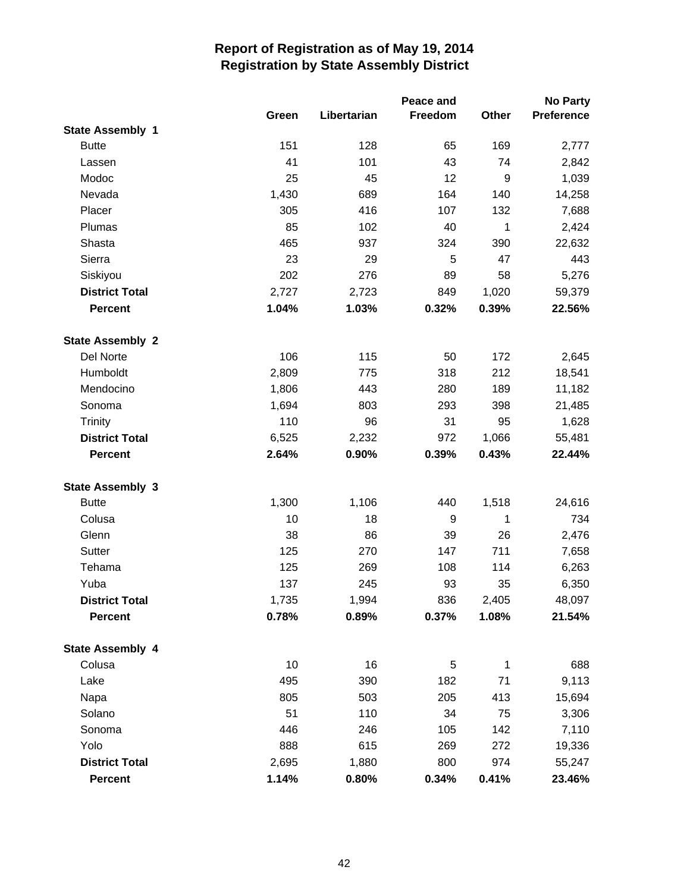|                         |       |             | Peace and        |                  | No Party          |
|-------------------------|-------|-------------|------------------|------------------|-------------------|
|                         | Green | Libertarian | Freedom          | Other            | <b>Preference</b> |
| <b>State Assembly 1</b> |       |             |                  |                  |                   |
| <b>Butte</b>            | 151   | 128         | 65               | 169              | 2,777             |
| Lassen                  | 41    | 101         | 43               | 74               | 2,842             |
| Modoc                   | 25    | 45          | 12               | $\boldsymbol{9}$ | 1,039             |
| Nevada                  | 1,430 | 689         | 164              | 140              | 14,258            |
| Placer                  | 305   | 416         | 107              | 132              | 7,688             |
| Plumas                  | 85    | 102         | 40               | 1                | 2,424             |
| Shasta                  | 465   | 937         | 324              | 390              | 22,632            |
| Sierra                  | 23    | 29          | 5                | 47               | 443               |
| Siskiyou                | 202   | 276         | 89               | 58               | 5,276             |
| <b>District Total</b>   | 2,727 | 2,723       | 849              | 1,020            | 59,379            |
| <b>Percent</b>          | 1.04% | 1.03%       | 0.32%            | 0.39%            | 22.56%            |
| <b>State Assembly 2</b> |       |             |                  |                  |                   |
| Del Norte               | 106   | 115         | 50               | 172              | 2,645             |
| Humboldt                | 2,809 | 775         | 318              | 212              | 18,541            |
| Mendocino               | 1,806 | 443         | 280              | 189              | 11,182            |
| Sonoma                  | 1,694 | 803         | 293              | 398              | 21,485            |
| Trinity                 | 110   | 96          | 31               | 95               | 1,628             |
| <b>District Total</b>   | 6,525 | 2,232       | 972              | 1,066            | 55,481            |
| <b>Percent</b>          | 2.64% | 0.90%       | 0.39%            | 0.43%            | 22.44%            |
| <b>State Assembly 3</b> |       |             |                  |                  |                   |
| <b>Butte</b>            | 1,300 | 1,106       | 440              | 1,518            | 24,616            |
| Colusa                  | 10    | 18          | $\boldsymbol{9}$ | 1                | 734               |
| Glenn                   | 38    | 86          | 39               | 26               | 2,476             |
| Sutter                  | 125   | 270         | 147              | 711              | 7,658             |
| Tehama                  | 125   | 269         | 108              | 114              | 6,263             |
| Yuba                    | 137   | 245         | 93               | 35               | 6,350             |
| <b>District Total</b>   | 1,735 | 1,994       | 836              | 2,405            | 48,097            |
| <b>Percent</b>          | 0.78% | 0.89%       | 0.37%            | 1.08%            | 21.54%            |
| <b>State Assembly 4</b> |       |             |                  |                  |                   |
| Colusa                  | 10    | 16          | 5                | $\mathbf{1}$     | 688               |
| Lake                    | 495   | 390         | 182              | 71               | 9,113             |
| Napa                    | 805   | 503         | 205              | 413              | 15,694            |
| Solano                  | 51    | 110         | 34               | 75               | 3,306             |
| Sonoma                  | 446   | 246         | 105              | 142              | 7,110             |
| Yolo                    | 888   | 615         | 269              | 272              | 19,336            |
| <b>District Total</b>   | 2,695 | 1,880       | 800              | 974              | 55,247            |
| Percent                 | 1.14% | 0.80%       | 0.34%            | 0.41%            | 23.46%            |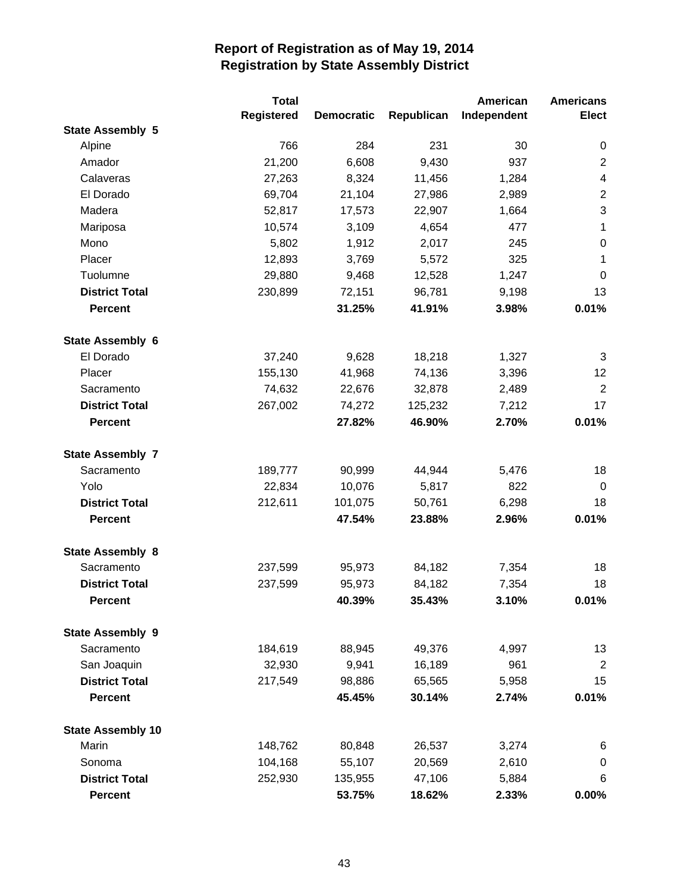|                          | <b>Total</b> |                   |            | American    | <b>Americans</b>         |
|--------------------------|--------------|-------------------|------------|-------------|--------------------------|
|                          | Registered   | <b>Democratic</b> | Republican | Independent | <b>Elect</b>             |
| <b>State Assembly 5</b>  |              |                   |            |             |                          |
| Alpine                   | 766          | 284               | 231        | 30          | 0                        |
| Amador                   | 21,200       | 6,608             | 9,430      | 937         | $\mathbf{2}$             |
| Calaveras                | 27,263       | 8,324             | 11,456     | 1,284       | $\overline{\mathcal{A}}$ |
| El Dorado                | 69,704       | 21,104            | 27,986     | 2,989       | $\sqrt{2}$               |
| Madera                   | 52,817       | 17,573            | 22,907     | 1,664       | $\sqrt{3}$               |
| Mariposa                 | 10,574       | 3,109             | 4,654      | 477         | $\mathbf{1}$             |
| Mono                     | 5,802        | 1,912             | 2,017      | 245         | $\boldsymbol{0}$         |
| Placer                   | 12,893       | 3,769             | 5,572      | 325         | $\mathbf{1}$             |
| Tuolumne                 | 29,880       | 9,468             | 12,528     | 1,247       | $\mathbf 0$              |
| <b>District Total</b>    | 230,899      | 72,151            | 96,781     | 9,198       | 13                       |
| <b>Percent</b>           |              | 31.25%            | 41.91%     | 3.98%       | 0.01%                    |
| <b>State Assembly 6</b>  |              |                   |            |             |                          |
| El Dorado                | 37,240       | 9,628             | 18,218     | 1,327       | 3                        |
| Placer                   | 155,130      | 41,968            | 74,136     | 3,396       | 12                       |
| Sacramento               | 74,632       | 22,676            | 32,878     | 2,489       | $\overline{2}$           |
| <b>District Total</b>    | 267,002      | 74,272            | 125,232    | 7,212       | 17                       |
| <b>Percent</b>           |              | 27.82%            | 46.90%     | 2.70%       | 0.01%                    |
| <b>State Assembly 7</b>  |              |                   |            |             |                          |
| Sacramento               | 189,777      | 90,999            | 44,944     | 5,476       | 18                       |
| Yolo                     | 22,834       | 10,076            | 5,817      | 822         | $\mathbf 0$              |
| <b>District Total</b>    | 212,611      | 101,075           | 50,761     | 6,298       | 18                       |
| <b>Percent</b>           |              | 47.54%            | 23.88%     | 2.96%       | 0.01%                    |
| <b>State Assembly 8</b>  |              |                   |            |             |                          |
| Sacramento               | 237,599      | 95,973            | 84,182     | 7,354       | 18                       |
| <b>District Total</b>    | 237,599      | 95,973            | 84,182     | 7,354       | 18                       |
| <b>Percent</b>           |              | 40.39%            | 35.43%     | 3.10%       | 0.01%                    |
| <b>State Assembly 9</b>  |              |                   |            |             |                          |
| Sacramento               | 184,619      | 88,945            | 49,376     | 4,997       | 13                       |
| San Joaquin              | 32,930       | 9,941             | 16,189     | 961         | $\overline{2}$           |
| <b>District Total</b>    | 217,549      | 98,886            | 65,565     | 5,958       | 15                       |
| <b>Percent</b>           |              | 45.45%            | 30.14%     | 2.74%       | 0.01%                    |
| <b>State Assembly 10</b> |              |                   |            |             |                          |
| Marin                    | 148,762      | 80,848            | 26,537     | 3,274       | 6                        |
| Sonoma                   | 104,168      | 55,107            | 20,569     | 2,610       | 0                        |
| <b>District Total</b>    | 252,930      | 135,955           | 47,106     | 5,884       | 6                        |
| <b>Percent</b>           |              | 53.75%            | 18.62%     | 2.33%       | 0.00%                    |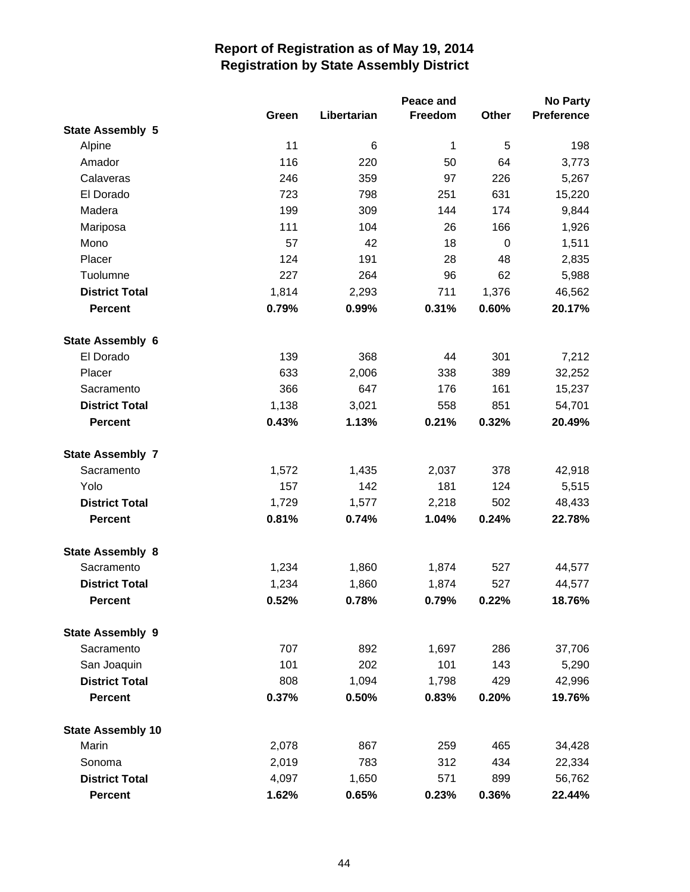|                          |       |             | Peace and |              | <b>No Party</b>   |
|--------------------------|-------|-------------|-----------|--------------|-------------------|
|                          | Green | Libertarian | Freedom   | <b>Other</b> | <b>Preference</b> |
| <b>State Assembly 5</b>  |       |             |           |              |                   |
| Alpine                   | 11    | 6           | 1         | 5            | 198               |
| Amador                   | 116   | 220         | 50        | 64           | 3,773             |
| Calaveras                | 246   | 359         | 97        | 226          | 5,267             |
| El Dorado                | 723   | 798         | 251       | 631          | 15,220            |
| Madera                   | 199   | 309         | 144       | 174          | 9,844             |
| Mariposa                 | 111   | 104         | 26        | 166          | 1,926             |
| Mono                     | 57    | 42          | 18        | $\pmb{0}$    | 1,511             |
| Placer                   | 124   | 191         | 28        | 48           | 2,835             |
| Tuolumne                 | 227   | 264         | 96        | 62           | 5,988             |
| <b>District Total</b>    | 1,814 | 2,293       | 711       | 1,376        | 46,562            |
| <b>Percent</b>           | 0.79% | 0.99%       | 0.31%     | 0.60%        | 20.17%            |
| <b>State Assembly 6</b>  |       |             |           |              |                   |
| El Dorado                | 139   | 368         | 44        | 301          | 7,212             |
| Placer                   | 633   | 2,006       | 338       | 389          | 32,252            |
| Sacramento               | 366   | 647         | 176       | 161          | 15,237            |
| <b>District Total</b>    | 1,138 | 3,021       | 558       | 851          | 54,701            |
| <b>Percent</b>           | 0.43% | 1.13%       | 0.21%     | 0.32%        | 20.49%            |
| <b>State Assembly 7</b>  |       |             |           |              |                   |
| Sacramento               | 1,572 | 1,435       | 2,037     | 378          | 42,918            |
| Yolo                     | 157   | 142         | 181       | 124          | 5,515             |
| <b>District Total</b>    | 1,729 | 1,577       | 2,218     | 502          | 48,433            |
| <b>Percent</b>           | 0.81% | 0.74%       | 1.04%     | 0.24%        | 22.78%            |
| <b>State Assembly 8</b>  |       |             |           |              |                   |
| Sacramento               | 1,234 | 1,860       | 1,874     | 527          | 44,577            |
| <b>District Total</b>    | 1,234 | 1,860       | 1,874     | 527          | 44,577            |
| Percent                  | 0.52% | 0.78%       | 0.79%     | 0.22%        | 18.76%            |
| <b>State Assembly 9</b>  |       |             |           |              |                   |
| Sacramento               | 707   | 892         | 1,697     | 286          | 37,706            |
| San Joaquin              | 101   | 202         | 101       | 143          | 5,290             |
| <b>District Total</b>    | 808   | 1,094       | 1,798     | 429          | 42,996            |
| <b>Percent</b>           | 0.37% | 0.50%       | 0.83%     | 0.20%        | 19.76%            |
| <b>State Assembly 10</b> |       |             |           |              |                   |
| Marin                    | 2,078 | 867         | 259       | 465          | 34,428            |
| Sonoma                   | 2,019 | 783         | 312       | 434          | 22,334            |
| <b>District Total</b>    | 4,097 | 1,650       | 571       | 899          | 56,762            |
| <b>Percent</b>           | 1.62% | 0.65%       | 0.23%     | 0.36%        | 22.44%            |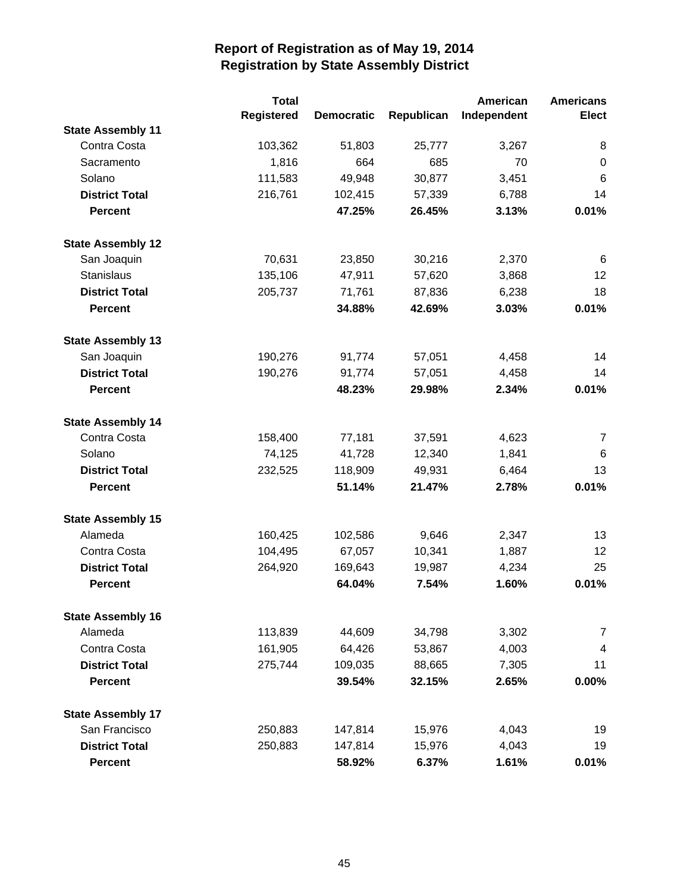|                          | <b>Total</b> |                   |            | American    | <b>Americans</b>        |
|--------------------------|--------------|-------------------|------------|-------------|-------------------------|
|                          | Registered   | <b>Democratic</b> | Republican | Independent | <b>Elect</b>            |
| <b>State Assembly 11</b> |              |                   |            |             |                         |
| Contra Costa             | 103,362      | 51,803            | 25,777     | 3,267       | 8                       |
| Sacramento               | 1,816        | 664               | 685        | 70          | $\mathbf 0$             |
| Solano                   | 111,583      | 49,948            | 30,877     | 3,451       | 6                       |
| <b>District Total</b>    | 216,761      | 102,415           | 57,339     | 6,788       | 14                      |
| <b>Percent</b>           |              | 47.25%            | 26.45%     | 3.13%       | 0.01%                   |
| <b>State Assembly 12</b> |              |                   |            |             |                         |
| San Joaquin              | 70,631       | 23,850            | 30,216     | 2,370       | 6                       |
| Stanislaus               | 135,106      | 47,911            | 57,620     | 3,868       | 12                      |
| <b>District Total</b>    | 205,737      | 71,761            | 87,836     | 6,238       | 18                      |
| <b>Percent</b>           |              | 34.88%            | 42.69%     | 3.03%       | 0.01%                   |
| <b>State Assembly 13</b> |              |                   |            |             |                         |
| San Joaquin              | 190,276      | 91,774            | 57,051     | 4,458       | 14                      |
| <b>District Total</b>    | 190,276      | 91,774            | 57,051     | 4,458       | 14                      |
| <b>Percent</b>           |              | 48.23%            | 29.98%     | 2.34%       | 0.01%                   |
| <b>State Assembly 14</b> |              |                   |            |             |                         |
| Contra Costa             | 158,400      | 77,181            | 37,591     | 4,623       | $\overline{7}$          |
| Solano                   | 74,125       | 41,728            | 12,340     | 1,841       | 6                       |
| <b>District Total</b>    | 232,525      | 118,909           | 49,931     | 6,464       | 13                      |
| <b>Percent</b>           |              | 51.14%            | 21.47%     | 2.78%       | 0.01%                   |
| <b>State Assembly 15</b> |              |                   |            |             |                         |
| Alameda                  | 160,425      | 102,586           | 9,646      | 2,347       | 13                      |
| Contra Costa             | 104,495      | 67,057            | 10,341     | 1,887       | 12                      |
| <b>District Total</b>    | 264,920      | 169,643           | 19,987     | 4,234       | 25                      |
| <b>Percent</b>           |              | 64.04%            | 7.54%      | 1.60%       | 0.01%                   |
| <b>State Assembly 16</b> |              |                   |            |             |                         |
| Alameda                  | 113,839      | 44,609            | 34,798     | 3,302       | $\overline{7}$          |
| Contra Costa             | 161,905      | 64,426            | 53,867     | 4,003       | $\overline{\mathbf{4}}$ |
| <b>District Total</b>    | 275,744      | 109,035           | 88,665     | 7,305       | 11                      |
| <b>Percent</b>           |              | 39.54%            | 32.15%     | 2.65%       | 0.00%                   |
| <b>State Assembly 17</b> |              |                   |            |             |                         |
| San Francisco            | 250,883      | 147,814           | 15,976     | 4,043       | 19                      |
| <b>District Total</b>    | 250,883      | 147,814           | 15,976     | 4,043       | 19                      |
| <b>Percent</b>           |              | 58.92%            | 6.37%      | 1.61%       | 0.01%                   |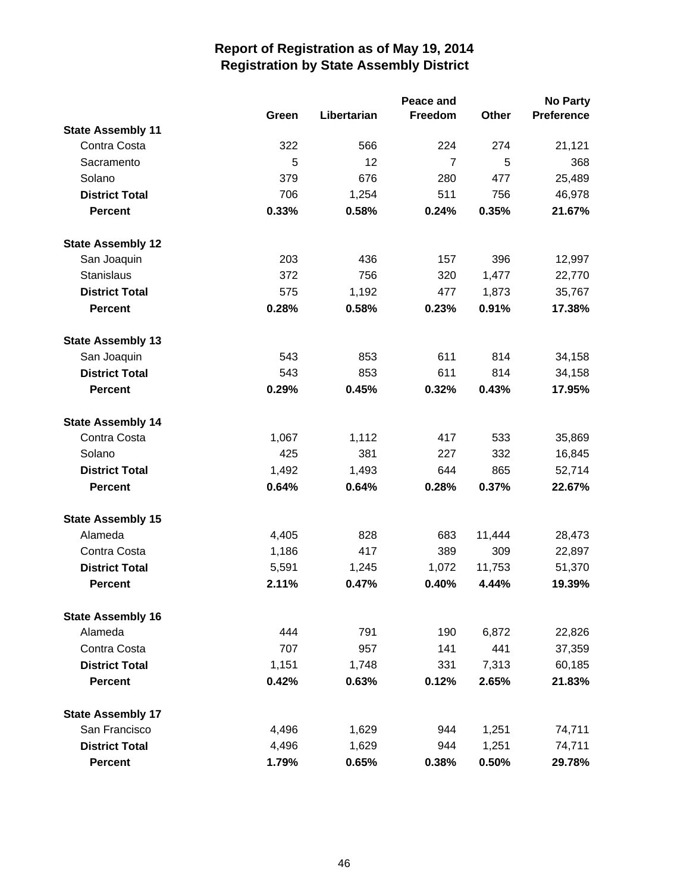|                          |       |             | Peace and      |        | <b>No Party</b>   |
|--------------------------|-------|-------------|----------------|--------|-------------------|
|                          | Green | Libertarian | Freedom        | Other  | <b>Preference</b> |
| <b>State Assembly 11</b> |       |             |                |        |                   |
| Contra Costa             | 322   | 566         | 224            | 274    | 21,121            |
| Sacramento               | 5     | 12          | $\overline{7}$ | 5      | 368               |
| Solano                   | 379   | 676         | 280            | 477    | 25,489            |
| <b>District Total</b>    | 706   | 1,254       | 511            | 756    | 46,978            |
| <b>Percent</b>           | 0.33% | 0.58%       | 0.24%          | 0.35%  | 21.67%            |
| <b>State Assembly 12</b> |       |             |                |        |                   |
| San Joaquin              | 203   | 436         | 157            | 396    | 12,997            |
| <b>Stanislaus</b>        | 372   | 756         | 320            | 1,477  | 22,770            |
| <b>District Total</b>    | 575   | 1,192       | 477            | 1,873  | 35,767            |
| <b>Percent</b>           | 0.28% | 0.58%       | 0.23%          | 0.91%  | 17.38%            |
| <b>State Assembly 13</b> |       |             |                |        |                   |
| San Joaquin              | 543   | 853         | 611            | 814    | 34,158            |
| <b>District Total</b>    | 543   | 853         | 611            | 814    | 34,158            |
| <b>Percent</b>           | 0.29% | 0.45%       | 0.32%          | 0.43%  | 17.95%            |
| <b>State Assembly 14</b> |       |             |                |        |                   |
| Contra Costa             | 1,067 | 1,112       | 417            | 533    | 35,869            |
| Solano                   | 425   | 381         | 227            | 332    | 16,845            |
| <b>District Total</b>    | 1,492 | 1,493       | 644            | 865    | 52,714            |
| <b>Percent</b>           | 0.64% | 0.64%       | 0.28%          | 0.37%  | 22.67%            |
| <b>State Assembly 15</b> |       |             |                |        |                   |
| Alameda                  | 4,405 | 828         | 683            | 11,444 | 28,473            |
| Contra Costa             | 1,186 | 417         | 389            | 309    | 22,897            |
| <b>District Total</b>    | 5,591 | 1,245       | 1,072          | 11,753 | 51,370            |
| <b>Percent</b>           | 2.11% | 0.47%       | 0.40%          | 4.44%  | 19.39%            |
| <b>State Assembly 16</b> |       |             |                |        |                   |
| Alameda                  | 444   | 791         | 190            | 6,872  | 22,826            |
| Contra Costa             | 707   | 957         | 141            | 441    | 37,359            |
| <b>District Total</b>    | 1,151 | 1,748       | 331            | 7,313  | 60,185            |
| <b>Percent</b>           | 0.42% | 0.63%       | 0.12%          | 2.65%  | 21.83%            |
| <b>State Assembly 17</b> |       |             |                |        |                   |
| San Francisco            | 4,496 | 1,629       | 944            | 1,251  | 74,711            |
| <b>District Total</b>    | 4,496 | 1,629       | 944            | 1,251  | 74,711            |
| <b>Percent</b>           | 1.79% | 0.65%       | 0.38%          | 0.50%  | 29.78%            |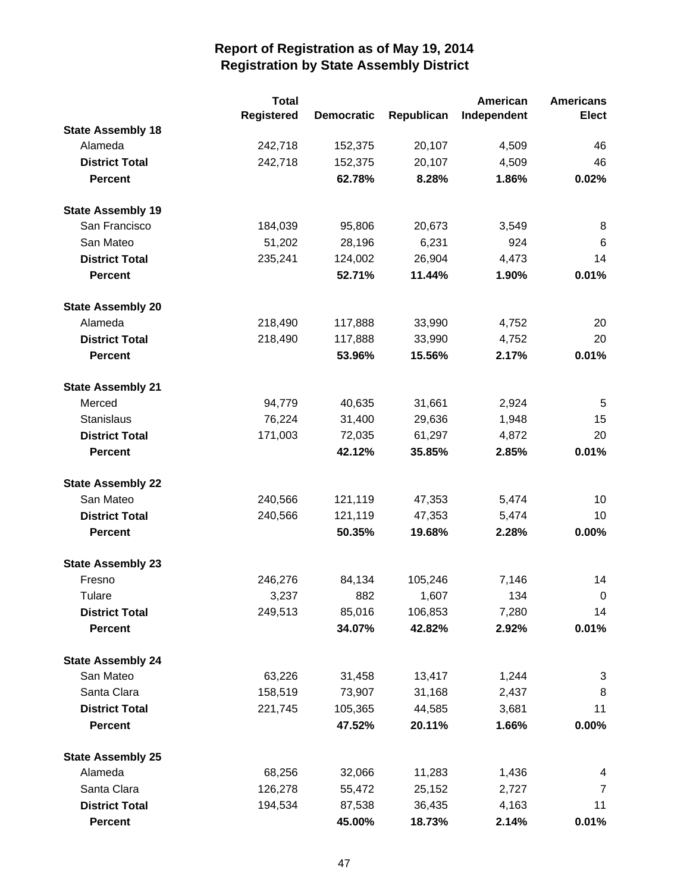|                          | <b>Total</b>      |                   |            | American    | <b>Americans</b> |
|--------------------------|-------------------|-------------------|------------|-------------|------------------|
|                          | <b>Registered</b> | <b>Democratic</b> | Republican | Independent | <b>Elect</b>     |
| <b>State Assembly 18</b> |                   |                   |            |             |                  |
| Alameda                  | 242,718           | 152,375           | 20,107     | 4,509       | 46               |
| <b>District Total</b>    | 242,718           | 152,375           | 20,107     | 4,509       | 46               |
| <b>Percent</b>           |                   | 62.78%            | 8.28%      | 1.86%       | 0.02%            |
| <b>State Assembly 19</b> |                   |                   |            |             |                  |
| San Francisco            | 184,039           | 95,806            | 20,673     | 3,549       | 8                |
| San Mateo                | 51,202            | 28,196            | 6,231      | 924         | 6                |
| <b>District Total</b>    | 235,241           | 124,002           | 26,904     | 4,473       | 14               |
| <b>Percent</b>           |                   | 52.71%            | 11.44%     | 1.90%       | 0.01%            |
| <b>State Assembly 20</b> |                   |                   |            |             |                  |
| Alameda                  | 218,490           | 117,888           | 33,990     | 4,752       | 20               |
| <b>District Total</b>    | 218,490           | 117,888           | 33,990     | 4,752       | 20               |
| <b>Percent</b>           |                   | 53.96%            | 15.56%     | 2.17%       | 0.01%            |
| <b>State Assembly 21</b> |                   |                   |            |             |                  |
| Merced                   | 94,779            | 40,635            | 31,661     | 2,924       | 5                |
| Stanislaus               | 76,224            | 31,400            | 29,636     | 1,948       | 15               |
| <b>District Total</b>    | 171,003           | 72,035            | 61,297     | 4,872       | 20               |
| <b>Percent</b>           |                   | 42.12%            | 35.85%     | 2.85%       | 0.01%            |
| <b>State Assembly 22</b> |                   |                   |            |             |                  |
| San Mateo                | 240,566           | 121,119           | 47,353     | 5,474       | 10               |
| <b>District Total</b>    | 240,566           | 121,119           | 47,353     | 5,474       | 10               |
| <b>Percent</b>           |                   | 50.35%            | 19.68%     | 2.28%       | 0.00%            |
| <b>State Assembly 23</b> |                   |                   |            |             |                  |
| Fresno                   | 246,276           | 84,134            | 105,246    | 7,146       | 14               |
| Tulare                   | 3,237             | 882               | 1,607      | 134         | $\mathbf 0$      |
| <b>District Total</b>    | 249,513           | 85,016            | 106,853    | 7,280       | 14               |
| <b>Percent</b>           |                   | 34.07%            | 42.82%     | 2.92%       | 0.01%            |
| <b>State Assembly 24</b> |                   |                   |            |             |                  |
| San Mateo                | 63,226            | 31,458            | 13,417     | 1,244       | 3                |
| Santa Clara              | 158,519           | 73,907            | 31,168     | 2,437       | 8                |
| <b>District Total</b>    | 221,745           | 105,365           | 44,585     | 3,681       | 11               |
| <b>Percent</b>           |                   | 47.52%            | 20.11%     | 1.66%       | 0.00%            |
| <b>State Assembly 25</b> |                   |                   |            |             |                  |
| Alameda                  | 68,256            | 32,066            | 11,283     | 1,436       | 4                |
| Santa Clara              | 126,278           | 55,472            | 25,152     | 2,727       | $\overline{7}$   |
| <b>District Total</b>    | 194,534           | 87,538            | 36,435     | 4,163       | 11               |
| <b>Percent</b>           |                   | 45.00%            | 18.73%     | 2.14%       | 0.01%            |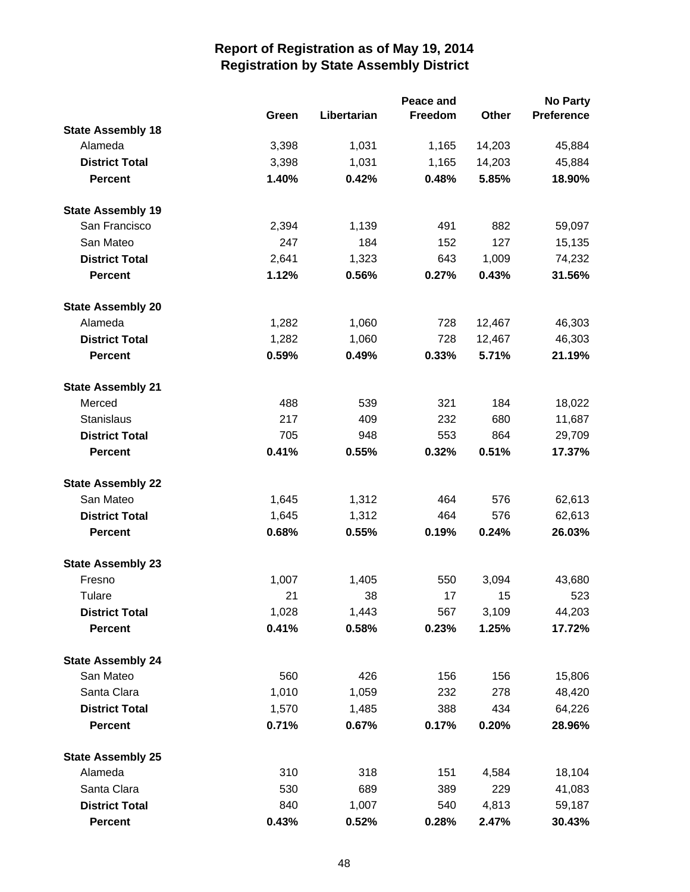|                          |       |             | No Party |        |                   |
|--------------------------|-------|-------------|----------|--------|-------------------|
|                          | Green | Libertarian | Freedom  | Other  | <b>Preference</b> |
| <b>State Assembly 18</b> |       |             |          |        |                   |
| Alameda                  | 3,398 | 1,031       | 1,165    | 14,203 | 45,884            |
| <b>District Total</b>    | 3,398 | 1,031       | 1,165    | 14,203 | 45,884            |
| <b>Percent</b>           | 1.40% | 0.42%       | 0.48%    | 5.85%  | 18.90%            |
| <b>State Assembly 19</b> |       |             |          |        |                   |
| San Francisco            | 2,394 | 1,139       | 491      | 882    | 59,097            |
| San Mateo                | 247   | 184         | 152      | 127    | 15,135            |
| <b>District Total</b>    | 2,641 | 1,323       | 643      | 1,009  | 74,232            |
| <b>Percent</b>           | 1.12% | 0.56%       | 0.27%    | 0.43%  | 31.56%            |
| <b>State Assembly 20</b> |       |             |          |        |                   |
| Alameda                  | 1,282 | 1,060       | 728      | 12,467 | 46,303            |
| <b>District Total</b>    | 1,282 | 1,060       | 728      | 12,467 | 46,303            |
| <b>Percent</b>           | 0.59% | 0.49%       | 0.33%    | 5.71%  | 21.19%            |
| <b>State Assembly 21</b> |       |             |          |        |                   |
| Merced                   | 488   | 539         | 321      | 184    | 18,022            |
| <b>Stanislaus</b>        | 217   | 409         | 232      | 680    | 11,687            |
| <b>District Total</b>    | 705   | 948         | 553      | 864    | 29,709            |
| <b>Percent</b>           | 0.41% | 0.55%       | 0.32%    | 0.51%  | 17.37%            |
| <b>State Assembly 22</b> |       |             |          |        |                   |
| San Mateo                | 1,645 | 1,312       | 464      | 576    | 62,613            |
| <b>District Total</b>    | 1,645 | 1,312       | 464      | 576    | 62,613            |
| <b>Percent</b>           | 0.68% | 0.55%       | 0.19%    | 0.24%  | 26.03%            |
| <b>State Assembly 23</b> |       |             |          |        |                   |
| Fresno                   | 1,007 | 1,405       | 550      | 3,094  | 43,680            |
| Tulare                   | 21    | 38          | 17       | 15     | 523               |
| <b>District Total</b>    | 1,028 | 1,443       | 567      | 3,109  | 44,203            |
| <b>Percent</b>           | 0.41% | 0.58%       | 0.23%    | 1.25%  | 17.72%            |
| <b>State Assembly 24</b> |       |             |          |        |                   |
| San Mateo                | 560   | 426         | 156      | 156    | 15,806            |
| Santa Clara              | 1,010 | 1,059       | 232      | 278    | 48,420            |
| <b>District Total</b>    | 1,570 | 1,485       | 388      | 434    | 64,226            |
| <b>Percent</b>           | 0.71% | 0.67%       | 0.17%    | 0.20%  | 28.96%            |
| <b>State Assembly 25</b> |       |             |          |        |                   |
| Alameda                  | 310   | 318         | 151      | 4,584  | 18,104            |
| Santa Clara              | 530   | 689         | 389      | 229    | 41,083            |
| <b>District Total</b>    | 840   | 1,007       | 540      | 4,813  | 59,187            |
| <b>Percent</b>           | 0.43% | 0.52%       | 0.28%    | 2.47%  | 30.43%            |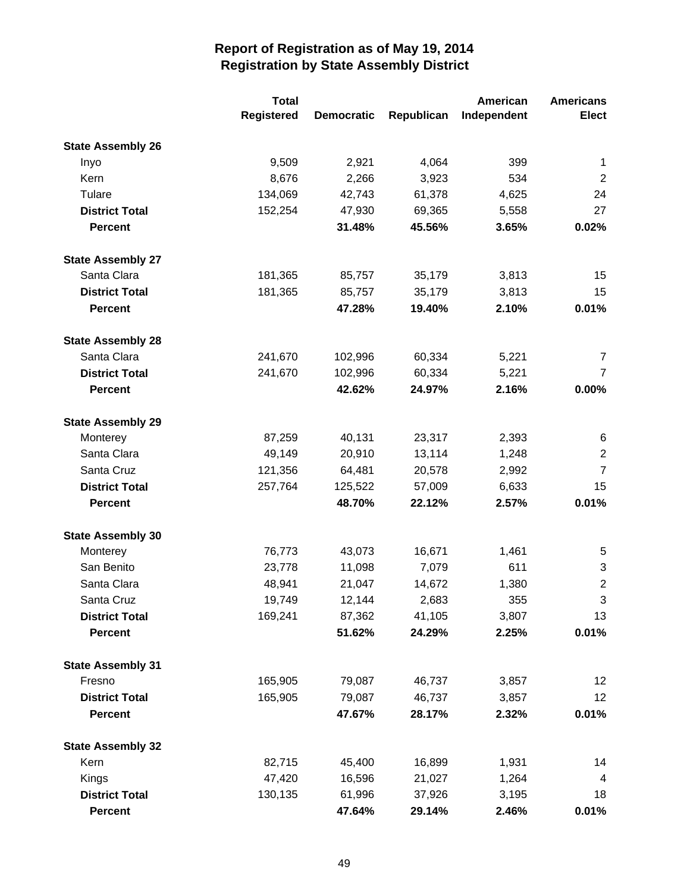|                          | <b>Total</b>      |                   |            | American    | <b>Americans</b> |
|--------------------------|-------------------|-------------------|------------|-------------|------------------|
|                          | <b>Registered</b> | <b>Democratic</b> | Republican | Independent | <b>Elect</b>     |
| <b>State Assembly 26</b> |                   |                   |            |             |                  |
| Inyo                     | 9,509             | 2,921             | 4,064      | 399         | $\mathbf{1}$     |
| Kern                     | 8,676             | 2,266             | 3,923      | 534         | $\overline{2}$   |
| Tulare                   | 134,069           | 42,743            | 61,378     | 4,625       | 24               |
| <b>District Total</b>    | 152,254           | 47,930            | 69,365     | 5,558       | 27               |
| <b>Percent</b>           |                   | 31.48%            | 45.56%     | 3.65%       | 0.02%            |
| <b>State Assembly 27</b> |                   |                   |            |             |                  |
| Santa Clara              | 181,365           | 85,757            | 35,179     | 3,813       | 15               |
| <b>District Total</b>    | 181,365           | 85,757            | 35,179     | 3,813       | 15               |
| <b>Percent</b>           |                   | 47.28%            | 19.40%     | 2.10%       | 0.01%            |
| <b>State Assembly 28</b> |                   |                   |            |             |                  |
| Santa Clara              | 241,670           | 102,996           | 60,334     | 5,221       | 7                |
| <b>District Total</b>    | 241,670           | 102,996           | 60,334     | 5,221       | $\overline{7}$   |
| <b>Percent</b>           |                   | 42.62%            | 24.97%     | 2.16%       | 0.00%            |
| <b>State Assembly 29</b> |                   |                   |            |             |                  |
| Monterey                 | 87,259            | 40,131            | 23,317     | 2,393       | 6                |
| Santa Clara              | 49,149            | 20,910            | 13,114     | 1,248       | $\overline{2}$   |
| Santa Cruz               | 121,356           | 64,481            | 20,578     | 2,992       | $\overline{7}$   |
| <b>District Total</b>    | 257,764           | 125,522           | 57,009     | 6,633       | 15               |
| <b>Percent</b>           |                   | 48.70%            | 22.12%     | 2.57%       | 0.01%            |
| <b>State Assembly 30</b> |                   |                   |            |             |                  |
| Monterey                 | 76,773            | 43,073            | 16,671     | 1,461       | 5                |
| San Benito               | 23,778            | 11,098            | 7,079      | 611         | 3                |
| Santa Clara              | 48,941            | 21,047            | 14,672     | 1,380       | $\overline{2}$   |
| Santa Cruz               | 19,749            | 12,144            | 2,683      | 355         | 3                |
| <b>District Total</b>    | 169,241           | 87,362            | 41,105     | 3,807       | 13               |
| <b>Percent</b>           |                   | 51.62%            | 24.29%     | 2.25%       | 0.01%            |
| <b>State Assembly 31</b> |                   |                   |            |             |                  |
| Fresno                   | 165,905           | 79,087            | 46,737     | 3,857       | 12               |
| <b>District Total</b>    | 165,905           | 79,087            | 46,737     | 3,857       | 12               |
| <b>Percent</b>           |                   | 47.67%            | 28.17%     | 2.32%       | 0.01%            |
| <b>State Assembly 32</b> |                   |                   |            |             |                  |
| Kern                     | 82,715            | 45,400            | 16,899     | 1,931       | 14               |
| Kings                    | 47,420            | 16,596            | 21,027     | 1,264       | 4                |
| <b>District Total</b>    | 130,135           | 61,996            | 37,926     | 3,195       | 18               |
| <b>Percent</b>           |                   | 47.64%            | 29.14%     | 2.46%       | 0.01%            |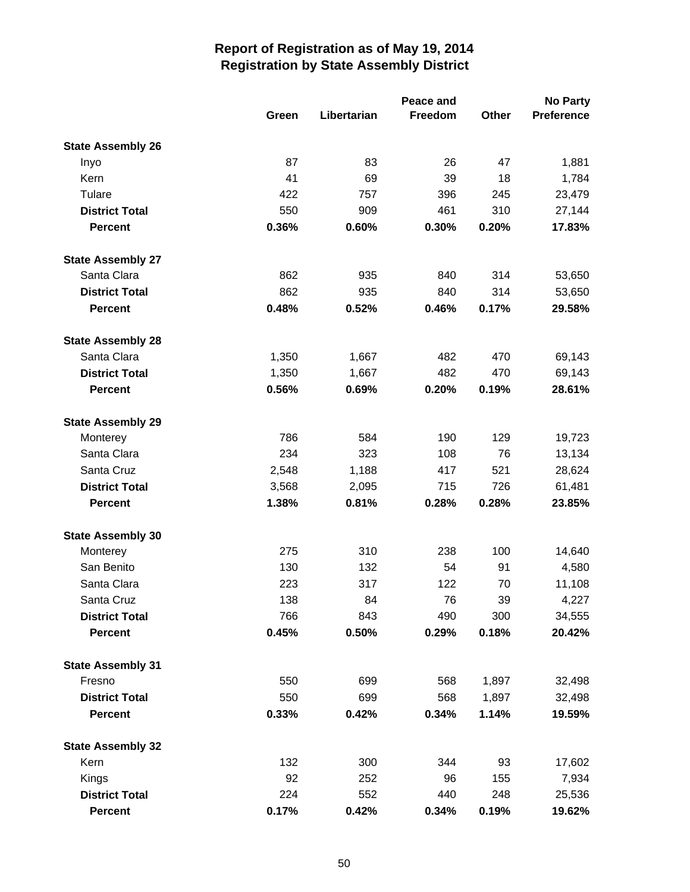|                          |       | Peace and   |         |              | <b>No Party</b>   |  |  |
|--------------------------|-------|-------------|---------|--------------|-------------------|--|--|
|                          | Green | Libertarian | Freedom | <b>Other</b> | <b>Preference</b> |  |  |
| <b>State Assembly 26</b> |       |             |         |              |                   |  |  |
| Inyo                     | 87    | 83          | 26      | 47           | 1,881             |  |  |
| Kern                     | 41    | 69          | 39      | 18           | 1,784             |  |  |
| Tulare                   | 422   | 757         | 396     | 245          | 23,479            |  |  |
| <b>District Total</b>    | 550   | 909         | 461     | 310          | 27,144            |  |  |
| <b>Percent</b>           | 0.36% | 0.60%       | 0.30%   | 0.20%        | 17.83%            |  |  |
| <b>State Assembly 27</b> |       |             |         |              |                   |  |  |
| Santa Clara              | 862   | 935         | 840     | 314          | 53,650            |  |  |
| <b>District Total</b>    | 862   | 935         | 840     | 314          | 53,650            |  |  |
| <b>Percent</b>           | 0.48% | 0.52%       | 0.46%   | 0.17%        | 29.58%            |  |  |
| <b>State Assembly 28</b> |       |             |         |              |                   |  |  |
| Santa Clara              | 1,350 | 1,667       | 482     | 470          | 69,143            |  |  |
| <b>District Total</b>    | 1,350 | 1,667       | 482     | 470          | 69,143            |  |  |
| <b>Percent</b>           | 0.56% | 0.69%       | 0.20%   | 0.19%        | 28.61%            |  |  |
| <b>State Assembly 29</b> |       |             |         |              |                   |  |  |
| Monterey                 | 786   | 584         | 190     | 129          | 19,723            |  |  |
| Santa Clara              | 234   | 323         | 108     | 76           | 13,134            |  |  |
| Santa Cruz               | 2,548 | 1,188       | 417     | 521          | 28,624            |  |  |
| <b>District Total</b>    | 3,568 | 2,095       | 715     | 726          | 61,481            |  |  |
| <b>Percent</b>           | 1.38% | 0.81%       | 0.28%   | 0.28%        | 23.85%            |  |  |
| <b>State Assembly 30</b> |       |             |         |              |                   |  |  |
| Monterey                 | 275   | 310         | 238     | 100          | 14,640            |  |  |
| San Benito               | 130   | 132         | 54      | 91           | 4,580             |  |  |
| Santa Clara              | 223   | 317         | 122     | 70           | 11,108            |  |  |
| Santa Cruz               | 138   | 84          | 76      | 39           | 4,227             |  |  |
| <b>District Total</b>    | 766   | 843         | 490     | 300          | 34,555            |  |  |
| <b>Percent</b>           | 0.45% | 0.50%       | 0.29%   | 0.18%        | 20.42%            |  |  |
| <b>State Assembly 31</b> |       |             |         |              |                   |  |  |
| Fresno                   | 550   | 699         | 568     | 1,897        | 32,498            |  |  |
| <b>District Total</b>    | 550   | 699         | 568     | 1,897        | 32,498            |  |  |
| <b>Percent</b>           | 0.33% | 0.42%       | 0.34%   | 1.14%        | 19.59%            |  |  |
| <b>State Assembly 32</b> |       |             |         |              |                   |  |  |
| Kern                     | 132   | 300         | 344     | 93           | 17,602            |  |  |
| Kings                    | 92    | 252         | 96      | 155          | 7,934             |  |  |
| <b>District Total</b>    | 224   | 552         | 440     | 248          | 25,536            |  |  |
| <b>Percent</b>           | 0.17% | 0.42%       | 0.34%   | 0.19%        | 19.62%            |  |  |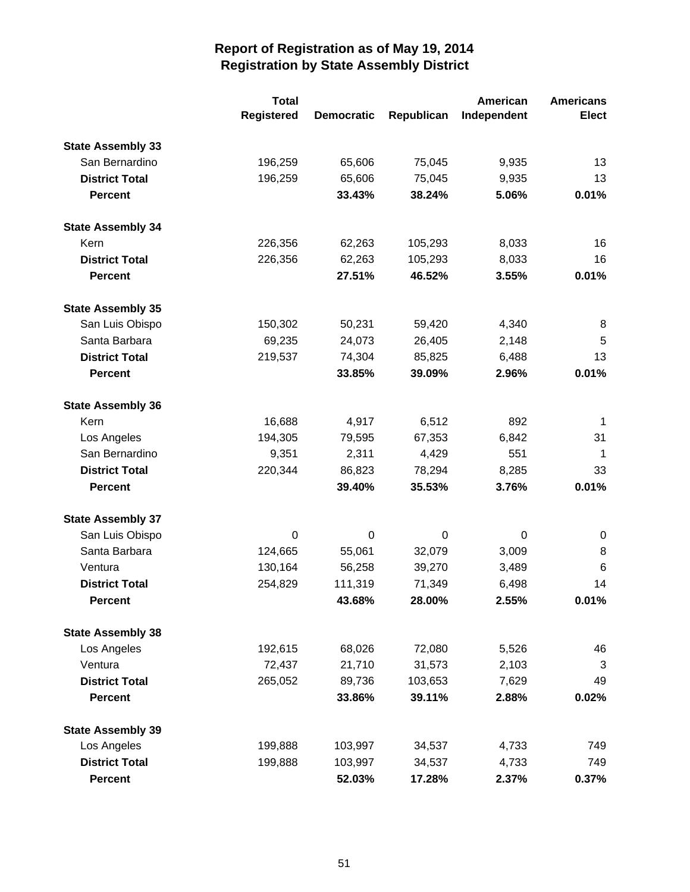|                          | <b>Total</b>      |                   |            | American    | <b>Americans</b> |
|--------------------------|-------------------|-------------------|------------|-------------|------------------|
|                          | <b>Registered</b> | <b>Democratic</b> | Republican | Independent | <b>Elect</b>     |
| <b>State Assembly 33</b> |                   |                   |            |             |                  |
| San Bernardino           | 196,259           | 65,606            | 75,045     | 9,935       | 13               |
| <b>District Total</b>    | 196,259           | 65,606            | 75,045     | 9,935       | 13               |
| <b>Percent</b>           |                   | 33.43%            | 38.24%     | 5.06%       | 0.01%            |
| <b>State Assembly 34</b> |                   |                   |            |             |                  |
| Kern                     | 226,356           | 62,263            | 105,293    | 8,033       | 16               |
| <b>District Total</b>    | 226,356           | 62,263            | 105,293    | 8,033       | 16               |
| <b>Percent</b>           |                   | 27.51%            | 46.52%     | 3.55%       | 0.01%            |
| <b>State Assembly 35</b> |                   |                   |            |             |                  |
| San Luis Obispo          | 150,302           | 50,231            | 59,420     | 4,340       | 8                |
| Santa Barbara            | 69,235            | 24,073            | 26,405     | 2,148       | 5                |
| <b>District Total</b>    | 219,537           | 74,304            | 85,825     | 6,488       | 13               |
| <b>Percent</b>           |                   | 33.85%            | 39.09%     | 2.96%       | 0.01%            |
| <b>State Assembly 36</b> |                   |                   |            |             |                  |
| Kern                     | 16,688            | 4,917             | 6,512      | 892         | -1               |
| Los Angeles              | 194,305           | 79,595            | 67,353     | 6,842       | 31               |
| San Bernardino           | 9,351             | 2,311             | 4,429      | 551         | $\mathbf 1$      |
| <b>District Total</b>    | 220,344           | 86,823            | 78,294     | 8,285       | 33               |
| <b>Percent</b>           |                   | 39.40%            | 35.53%     | 3.76%       | 0.01%            |
| <b>State Assembly 37</b> |                   |                   |            |             |                  |
| San Luis Obispo          | 0                 | 0                 | 0          | 0           | 0                |
| Santa Barbara            | 124,665           | 55,061            | 32,079     | 3,009       | 8                |
| Ventura                  | 130,164           | 56,258            | 39,270     | 3,489       | 6                |
| <b>District Total</b>    | 254,829           | 111,319           | 71,349     | 6,498       | 14               |
| Percent                  |                   | 43.68%            | 28.00%     | 2.55%       | 0.01%            |
| <b>State Assembly 38</b> |                   |                   |            |             |                  |
| Los Angeles              | 192,615           | 68,026            | 72,080     | 5,526       | 46               |
| Ventura                  | 72,437            | 21,710            | 31,573     | 2,103       | 3                |
| <b>District Total</b>    | 265,052           | 89,736            | 103,653    | 7,629       | 49               |
| <b>Percent</b>           |                   | 33.86%            | 39.11%     | 2.88%       | 0.02%            |
| <b>State Assembly 39</b> |                   |                   |            |             |                  |
| Los Angeles              | 199,888           | 103,997           | 34,537     | 4,733       | 749              |
| <b>District Total</b>    | 199,888           | 103,997           | 34,537     | 4,733       | 749              |
| <b>Percent</b>           |                   | 52.03%            | 17.28%     | 2.37%       | 0.37%            |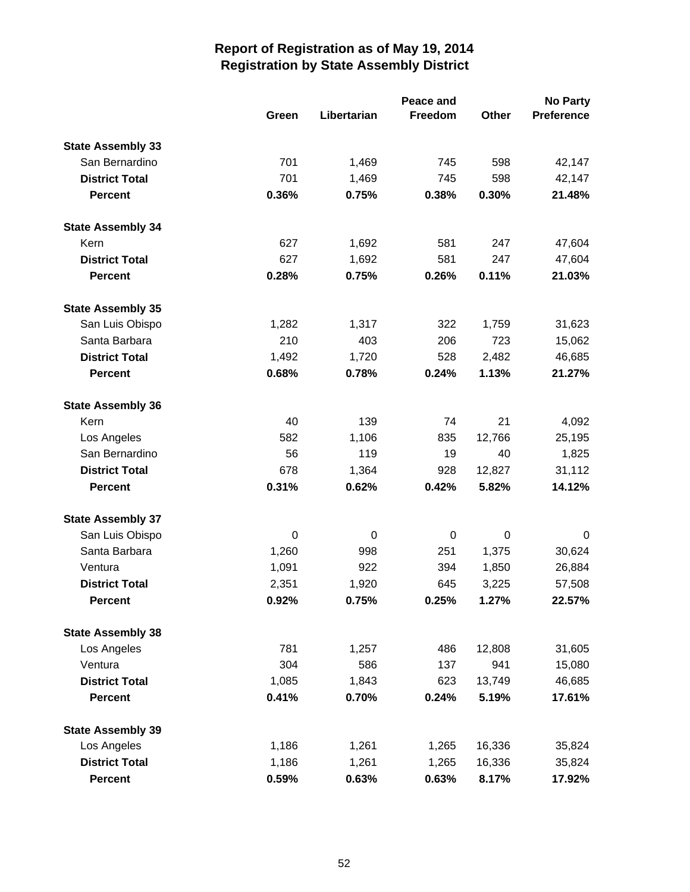|                          |       | Peace and   |             |        |                   |
|--------------------------|-------|-------------|-------------|--------|-------------------|
|                          | Green | Libertarian | Freedom     | Other  | <b>Preference</b> |
| <b>State Assembly 33</b> |       |             |             |        |                   |
| San Bernardino           | 701   | 1,469       | 745         | 598    | 42,147            |
| <b>District Total</b>    | 701   | 1,469       | 745         | 598    | 42,147            |
| <b>Percent</b>           | 0.36% | 0.75%       | 0.38%       | 0.30%  | 21.48%            |
| <b>State Assembly 34</b> |       |             |             |        |                   |
| Kern                     | 627   | 1,692       | 581         | 247    | 47,604            |
| <b>District Total</b>    | 627   | 1,692       | 581         | 247    | 47,604            |
| <b>Percent</b>           | 0.28% | 0.75%       | 0.26%       | 0.11%  | 21.03%            |
| <b>State Assembly 35</b> |       |             |             |        |                   |
| San Luis Obispo          | 1,282 | 1,317       | 322         | 1,759  | 31,623            |
| Santa Barbara            | 210   | 403         | 206         | 723    | 15,062            |
| <b>District Total</b>    | 1,492 | 1,720       | 528         | 2,482  | 46,685            |
| <b>Percent</b>           | 0.68% | 0.78%       | 0.24%       | 1.13%  | 21.27%            |
| <b>State Assembly 36</b> |       |             |             |        |                   |
| Kern                     | 40    | 139         | 74          | 21     | 4,092             |
| Los Angeles              | 582   | 1,106       | 835         | 12,766 | 25,195            |
| San Bernardino           | 56    | 119         | 19          | 40     | 1,825             |
| <b>District Total</b>    | 678   | 1,364       | 928         | 12,827 | 31,112            |
| <b>Percent</b>           | 0.31% | 0.62%       | 0.42%       | 5.82%  | 14.12%            |
| <b>State Assembly 37</b> |       |             |             |        |                   |
| San Luis Obispo          | 0     | 0           | $\mathbf 0$ | 0      | 0                 |
| Santa Barbara            | 1,260 | 998         | 251         | 1,375  | 30,624            |
| Ventura                  | 1,091 | 922         | 394         | 1,850  | 26,884            |
| <b>District Total</b>    | 2,351 | 1,920       | 645         | 3,225  | 57,508            |
| <b>Percent</b>           | 0.92% | 0.75%       | 0.25%       | 1.27%  | 22.57%            |
| <b>State Assembly 38</b> |       |             |             |        |                   |
| Los Angeles              | 781   | 1,257       | 486         | 12,808 | 31,605            |
| Ventura                  | 304   | 586         | 137         | 941    | 15,080            |
| <b>District Total</b>    | 1,085 | 1,843       | 623         | 13,749 | 46,685            |
| Percent                  | 0.41% | 0.70%       | 0.24%       | 5.19%  | 17.61%            |
| <b>State Assembly 39</b> |       |             |             |        |                   |
| Los Angeles              | 1,186 | 1,261       | 1,265       | 16,336 | 35,824            |
| <b>District Total</b>    | 1,186 | 1,261       | 1,265       | 16,336 | 35,824            |
| <b>Percent</b>           | 0.59% | 0.63%       | 0.63%       | 8.17%  | 17.92%            |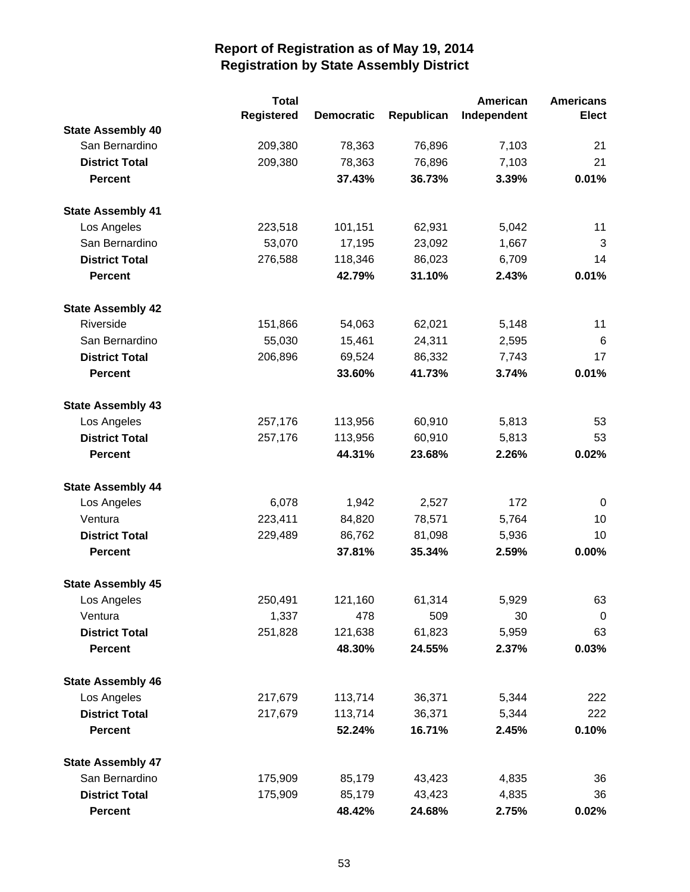|                          | <b>Total</b> |                   |            | American    | <b>Americans</b> |
|--------------------------|--------------|-------------------|------------|-------------|------------------|
|                          | Registered   | <b>Democratic</b> | Republican | Independent | <b>Elect</b>     |
| <b>State Assembly 40</b> |              |                   |            |             |                  |
| San Bernardino           | 209,380      | 78,363            | 76,896     | 7,103       | 21               |
| <b>District Total</b>    | 209,380      | 78,363            | 76,896     | 7,103       | 21               |
| <b>Percent</b>           |              | 37.43%            | 36.73%     | 3.39%       | 0.01%            |
| <b>State Assembly 41</b> |              |                   |            |             |                  |
| Los Angeles              | 223,518      | 101,151           | 62,931     | 5,042       | 11               |
| San Bernardino           | 53,070       | 17,195            | 23,092     | 1,667       | 3                |
| <b>District Total</b>    | 276,588      | 118,346           | 86,023     | 6,709       | 14               |
| <b>Percent</b>           |              | 42.79%            | 31.10%     | 2.43%       | 0.01%            |
| <b>State Assembly 42</b> |              |                   |            |             |                  |
| Riverside                | 151,866      | 54,063            | 62,021     | 5,148       | 11               |
| San Bernardino           | 55,030       | 15,461            | 24,311     | 2,595       | $\,6$            |
| <b>District Total</b>    | 206,896      | 69,524            | 86,332     | 7,743       | 17               |
| <b>Percent</b>           |              | 33.60%            | 41.73%     | 3.74%       | 0.01%            |
| <b>State Assembly 43</b> |              |                   |            |             |                  |
| Los Angeles              | 257,176      | 113,956           | 60,910     | 5,813       | 53               |
| <b>District Total</b>    | 257,176      | 113,956           | 60,910     | 5,813       | 53               |
| <b>Percent</b>           |              | 44.31%            | 23.68%     | 2.26%       | 0.02%            |
| <b>State Assembly 44</b> |              |                   |            |             |                  |
| Los Angeles              | 6,078        | 1,942             | 2,527      | 172         | $\mathbf 0$      |
| Ventura                  | 223,411      | 84,820            | 78,571     | 5,764       | 10               |
| <b>District Total</b>    | 229,489      | 86,762            | 81,098     | 5,936       | 10               |
| <b>Percent</b>           |              | 37.81%            | 35.34%     | 2.59%       | 0.00%            |
| <b>State Assembly 45</b> |              |                   |            |             |                  |
| Los Angeles              | 250,491      | 121,160           | 61,314     | 5,929       | 63               |
| Ventura                  | 1,337        | 478               | 509        | 30          | 0                |
| <b>District Total</b>    | 251,828      | 121,638           | 61,823     | 5,959       | 63               |
| <b>Percent</b>           |              | 48.30%            | 24.55%     | 2.37%       | 0.03%            |
| <b>State Assembly 46</b> |              |                   |            |             |                  |
| Los Angeles              | 217,679      | 113,714           | 36,371     | 5,344       | 222              |
| <b>District Total</b>    | 217,679      | 113,714           | 36,371     | 5,344       | 222              |
| <b>Percent</b>           |              | 52.24%            | 16.71%     | 2.45%       | 0.10%            |
| <b>State Assembly 47</b> |              |                   |            |             |                  |
| San Bernardino           | 175,909      | 85,179            | 43,423     | 4,835       | 36               |
| <b>District Total</b>    | 175,909      | 85,179            | 43,423     | 4,835       | 36               |
| <b>Percent</b>           |              | 48.42%            | 24.68%     | 2.75%       | 0.02%            |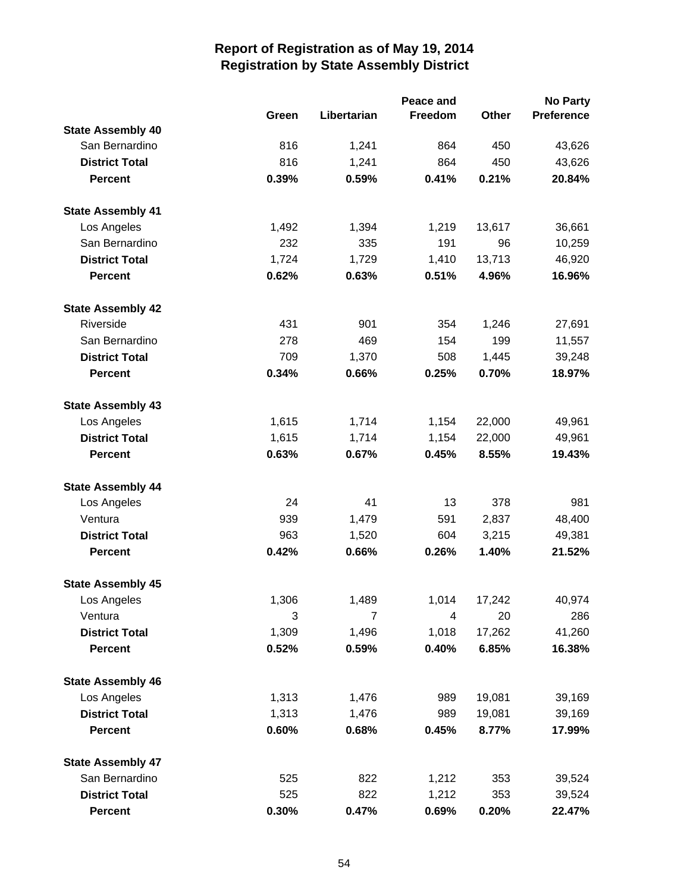|                          |       | Peace and   |         |        | <b>No Party</b>   |  |
|--------------------------|-------|-------------|---------|--------|-------------------|--|
|                          | Green | Libertarian | Freedom | Other  | <b>Preference</b> |  |
| <b>State Assembly 40</b> |       |             |         |        |                   |  |
| San Bernardino           | 816   | 1,241       | 864     | 450    | 43,626            |  |
| <b>District Total</b>    | 816   | 1,241       | 864     | 450    | 43,626            |  |
| <b>Percent</b>           | 0.39% | 0.59%       | 0.41%   | 0.21%  | 20.84%            |  |
| <b>State Assembly 41</b> |       |             |         |        |                   |  |
| Los Angeles              | 1,492 | 1,394       | 1,219   | 13,617 | 36,661            |  |
| San Bernardino           | 232   | 335         | 191     | 96     | 10,259            |  |
| <b>District Total</b>    | 1,724 | 1,729       | 1,410   | 13,713 | 46,920            |  |
| <b>Percent</b>           | 0.62% | 0.63%       | 0.51%   | 4.96%  | 16.96%            |  |
| <b>State Assembly 42</b> |       |             |         |        |                   |  |
| Riverside                | 431   | 901         | 354     | 1,246  | 27,691            |  |
| San Bernardino           | 278   | 469         | 154     | 199    | 11,557            |  |
| <b>District Total</b>    | 709   | 1,370       | 508     | 1,445  | 39,248            |  |
| <b>Percent</b>           | 0.34% | 0.66%       | 0.25%   | 0.70%  | 18.97%            |  |
| <b>State Assembly 43</b> |       |             |         |        |                   |  |
| Los Angeles              | 1,615 | 1,714       | 1,154   | 22,000 | 49,961            |  |
| <b>District Total</b>    | 1,615 | 1,714       | 1,154   | 22,000 | 49,961            |  |
| <b>Percent</b>           | 0.63% | 0.67%       | 0.45%   | 8.55%  | 19.43%            |  |
| <b>State Assembly 44</b> |       |             |         |        |                   |  |
| Los Angeles              | 24    | 41          | 13      | 378    | 981               |  |
| Ventura                  | 939   | 1,479       | 591     | 2,837  | 48,400            |  |
| <b>District Total</b>    | 963   | 1,520       | 604     | 3,215  | 49,381            |  |
| <b>Percent</b>           | 0.42% | 0.66%       | 0.26%   | 1.40%  | 21.52%            |  |
| <b>State Assembly 45</b> |       |             |         |        |                   |  |
| Los Angeles              | 1,306 | 1,489       | 1,014   | 17,242 | 40,974            |  |
| Ventura                  | 3     | 7           | 4       | 20     | 286               |  |
| <b>District Total</b>    | 1,309 | 1,496       | 1,018   | 17,262 | 41,260            |  |
| <b>Percent</b>           | 0.52% | 0.59%       | 0.40%   | 6.85%  | 16.38%            |  |
| <b>State Assembly 46</b> |       |             |         |        |                   |  |
| Los Angeles              | 1,313 | 1,476       | 989     | 19,081 | 39,169            |  |
| <b>District Total</b>    | 1,313 | 1,476       | 989     | 19,081 | 39,169            |  |
| <b>Percent</b>           | 0.60% | 0.68%       | 0.45%   | 8.77%  | 17.99%            |  |
| <b>State Assembly 47</b> |       |             |         |        |                   |  |
| San Bernardino           | 525   | 822         | 1,212   | 353    | 39,524            |  |
| <b>District Total</b>    | 525   | 822         | 1,212   | 353    | 39,524            |  |
| <b>Percent</b>           | 0.30% | 0.47%       | 0.69%   | 0.20%  | 22.47%            |  |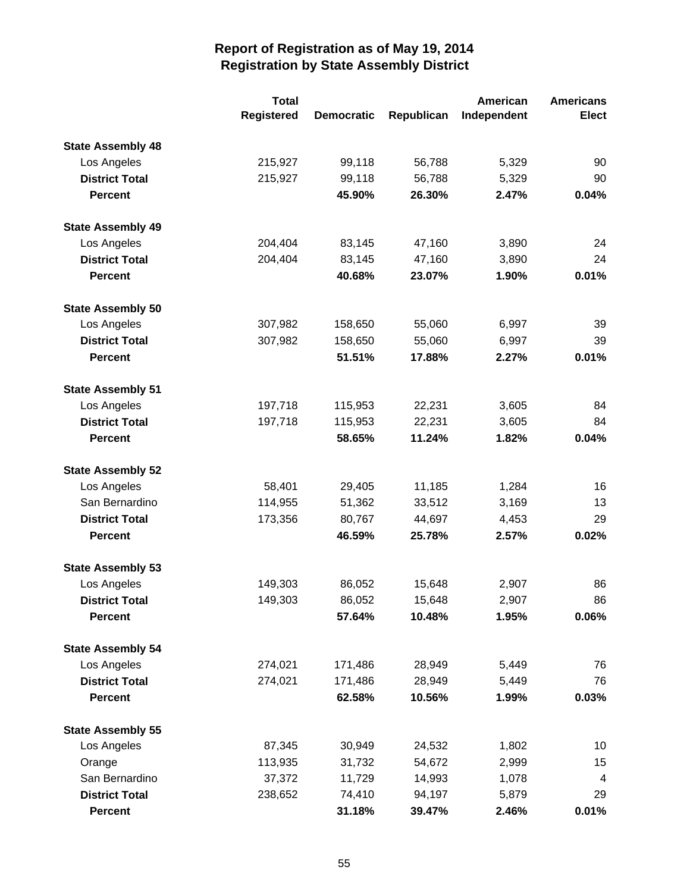|                          | <b>Total</b>      |                   |            | American    | <b>Americans</b> |
|--------------------------|-------------------|-------------------|------------|-------------|------------------|
|                          | <b>Registered</b> | <b>Democratic</b> | Republican | Independent | <b>Elect</b>     |
| <b>State Assembly 48</b> |                   |                   |            |             |                  |
| Los Angeles              | 215,927           | 99,118            | 56,788     | 5,329       | 90               |
| <b>District Total</b>    | 215,927           | 99,118            | 56,788     | 5,329       | 90               |
| <b>Percent</b>           |                   | 45.90%            | 26.30%     | 2.47%       | 0.04%            |
| <b>State Assembly 49</b> |                   |                   |            |             |                  |
| Los Angeles              | 204,404           | 83,145            | 47,160     | 3,890       | 24               |
| <b>District Total</b>    | 204,404           | 83,145            | 47,160     | 3,890       | 24               |
| <b>Percent</b>           |                   | 40.68%            | 23.07%     | 1.90%       | 0.01%            |
| <b>State Assembly 50</b> |                   |                   |            |             |                  |
| Los Angeles              | 307,982           | 158,650           | 55,060     | 6,997       | 39               |
| <b>District Total</b>    | 307,982           | 158,650           | 55,060     | 6,997       | 39               |
| <b>Percent</b>           |                   | 51.51%            | 17.88%     | 2.27%       | 0.01%            |
| <b>State Assembly 51</b> |                   |                   |            |             |                  |
| Los Angeles              | 197,718           | 115,953           | 22,231     | 3,605       | 84               |
| <b>District Total</b>    | 197,718           | 115,953           | 22,231     | 3,605       | 84               |
| <b>Percent</b>           |                   | 58.65%            | 11.24%     | 1.82%       | 0.04%            |
| <b>State Assembly 52</b> |                   |                   |            |             |                  |
| Los Angeles              | 58,401            | 29,405            | 11,185     | 1,284       | 16               |
| San Bernardino           | 114,955           | 51,362            | 33,512     | 3,169       | 13               |
| <b>District Total</b>    | 173,356           | 80,767            | 44,697     | 4,453       | 29               |
| <b>Percent</b>           |                   | 46.59%            | 25.78%     | 2.57%       | 0.02%            |
| <b>State Assembly 53</b> |                   |                   |            |             |                  |
| Los Angeles              | 149,303           | 86,052            | 15,648     | 2,907       | 86               |
| <b>District Total</b>    | 149,303           | 86,052            | 15,648     | 2,907       | 86               |
| <b>Percent</b>           |                   | 57.64%            | 10.48%     | 1.95%       | 0.06%            |
| <b>State Assembly 54</b> |                   |                   |            |             |                  |
| Los Angeles              | 274,021           | 171,486           | 28,949     | 5,449       | 76               |
| <b>District Total</b>    | 274,021           | 171,486           | 28,949     | 5,449       | 76               |
| <b>Percent</b>           |                   | 62.58%            | 10.56%     | 1.99%       | 0.03%            |
| <b>State Assembly 55</b> |                   |                   |            |             |                  |
| Los Angeles              | 87,345            | 30,949            | 24,532     | 1,802       | 10               |
| Orange                   | 113,935           | 31,732            | 54,672     | 2,999       | 15               |
| San Bernardino           | 37,372            | 11,729            | 14,993     | 1,078       | 4                |
| <b>District Total</b>    | 238,652           | 74,410            | 94,197     | 5,879       | 29               |
| <b>Percent</b>           |                   | 31.18%            | 39.47%     | 2.46%       | 0.01%            |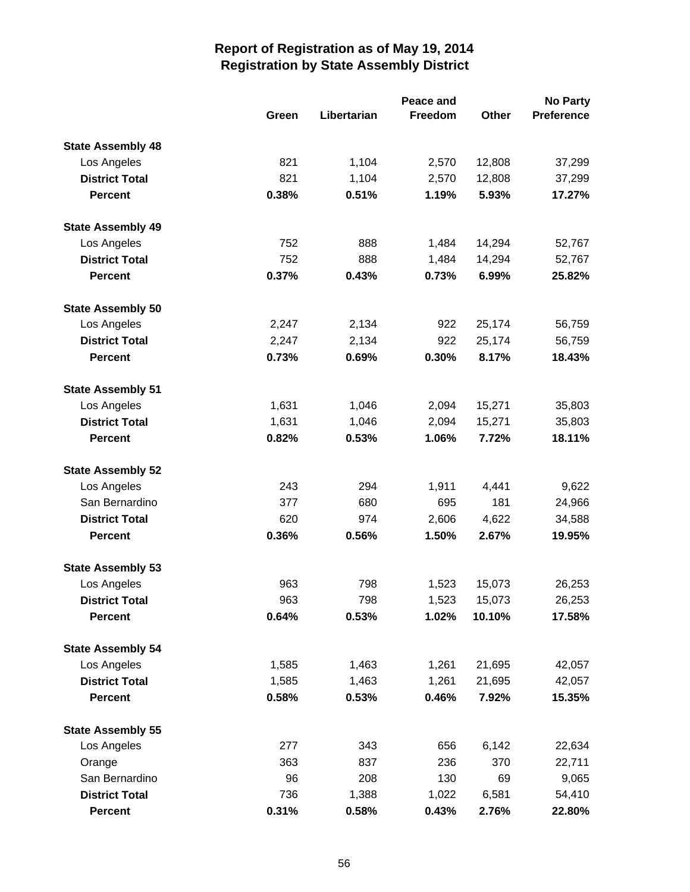|                          |       | Peace and   |         |              | <b>No Party</b>   |  |  |
|--------------------------|-------|-------------|---------|--------------|-------------------|--|--|
|                          | Green | Libertarian | Freedom | <b>Other</b> | <b>Preference</b> |  |  |
| <b>State Assembly 48</b> |       |             |         |              |                   |  |  |
| Los Angeles              | 821   | 1,104       | 2,570   | 12,808       | 37,299            |  |  |
| <b>District Total</b>    | 821   | 1,104       | 2,570   | 12,808       | 37,299            |  |  |
| <b>Percent</b>           | 0.38% | 0.51%       | 1.19%   | 5.93%        | 17.27%            |  |  |
| <b>State Assembly 49</b> |       |             |         |              |                   |  |  |
| Los Angeles              | 752   | 888         | 1,484   | 14,294       | 52,767            |  |  |
| <b>District Total</b>    | 752   | 888         | 1,484   | 14,294       | 52,767            |  |  |
| <b>Percent</b>           | 0.37% | 0.43%       | 0.73%   | 6.99%        | 25.82%            |  |  |
| <b>State Assembly 50</b> |       |             |         |              |                   |  |  |
| Los Angeles              | 2,247 | 2,134       | 922     | 25,174       | 56,759            |  |  |
| <b>District Total</b>    | 2,247 | 2,134       | 922     | 25,174       | 56,759            |  |  |
| <b>Percent</b>           | 0.73% | 0.69%       | 0.30%   | 8.17%        | 18.43%            |  |  |
| <b>State Assembly 51</b> |       |             |         |              |                   |  |  |
| Los Angeles              | 1,631 | 1,046       | 2,094   | 15,271       | 35,803            |  |  |
| <b>District Total</b>    | 1,631 | 1,046       | 2,094   | 15,271       | 35,803            |  |  |
| <b>Percent</b>           | 0.82% | 0.53%       | 1.06%   | 7.72%        | 18.11%            |  |  |
| <b>State Assembly 52</b> |       |             |         |              |                   |  |  |
| Los Angeles              | 243   | 294         | 1,911   | 4,441        | 9,622             |  |  |
| San Bernardino           | 377   | 680         | 695     | 181          | 24,966            |  |  |
| <b>District Total</b>    | 620   | 974         | 2,606   | 4,622        | 34,588            |  |  |
| <b>Percent</b>           | 0.36% | 0.56%       | 1.50%   | 2.67%        | 19.95%            |  |  |
| <b>State Assembly 53</b> |       |             |         |              |                   |  |  |
| Los Angeles              | 963   | 798         | 1,523   | 15,073       | 26,253            |  |  |
| <b>District Total</b>    | 963   | 798         | 1,523   | 15,073       | 26,253            |  |  |
| <b>Percent</b>           | 0.64% | 0.53%       | 1.02%   | 10.10%       | 17.58%            |  |  |
| <b>State Assembly 54</b> |       |             |         |              |                   |  |  |
| Los Angeles              | 1,585 | 1,463       | 1,261   | 21,695       | 42,057            |  |  |
| <b>District Total</b>    | 1,585 | 1,463       | 1,261   | 21,695       | 42,057            |  |  |
| <b>Percent</b>           | 0.58% | 0.53%       | 0.46%   | 7.92%        | 15.35%            |  |  |
| <b>State Assembly 55</b> |       |             |         |              |                   |  |  |
| Los Angeles              | 277   | 343         | 656     | 6,142        | 22,634            |  |  |
| Orange                   | 363   | 837         | 236     | 370          | 22,711            |  |  |
| San Bernardino           | 96    | 208         | 130     | 69           | 9,065             |  |  |
| <b>District Total</b>    | 736   | 1,388       | 1,022   | 6,581        | 54,410            |  |  |
| <b>Percent</b>           | 0.31% | 0.58%       | 0.43%   | 2.76%        | 22.80%            |  |  |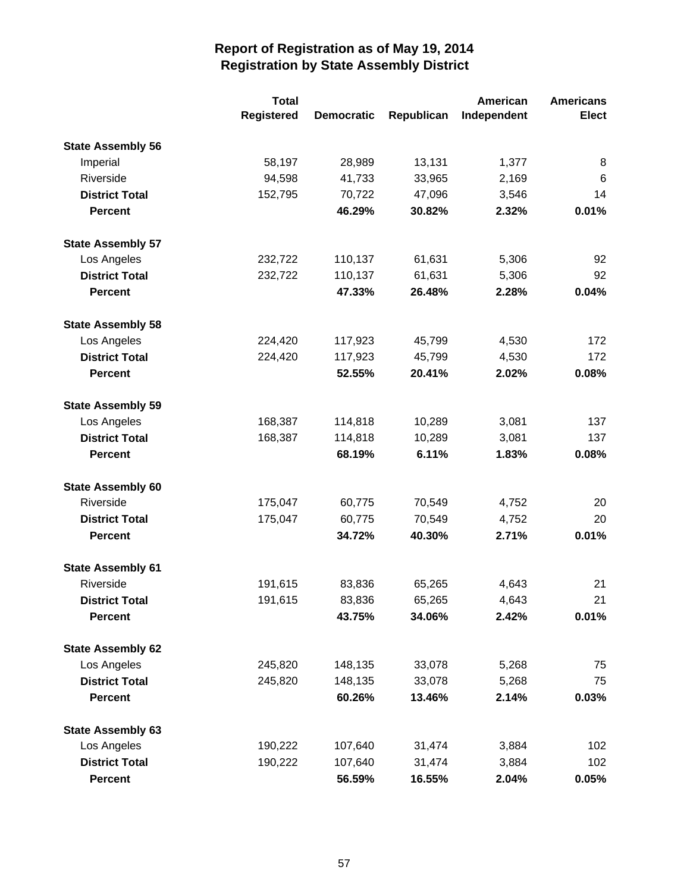|                          | <b>Total</b> |                   |            | American    | <b>Americans</b> |
|--------------------------|--------------|-------------------|------------|-------------|------------------|
|                          | Registered   | <b>Democratic</b> | Republican | Independent | <b>Elect</b>     |
| <b>State Assembly 56</b> |              |                   |            |             |                  |
| Imperial                 | 58,197       | 28,989            | 13,131     | 1,377       | 8                |
| Riverside                | 94,598       | 41,733            | 33,965     | 2,169       | 6                |
| <b>District Total</b>    | 152,795      | 70,722            | 47,096     | 3,546       | 14               |
| <b>Percent</b>           |              | 46.29%            | 30.82%     | 2.32%       | 0.01%            |
| <b>State Assembly 57</b> |              |                   |            |             |                  |
| Los Angeles              | 232,722      | 110,137           | 61,631     | 5,306       | 92               |
| <b>District Total</b>    | 232,722      | 110,137           | 61,631     | 5,306       | 92               |
| <b>Percent</b>           |              | 47.33%            | 26.48%     | 2.28%       | 0.04%            |
| <b>State Assembly 58</b> |              |                   |            |             |                  |
| Los Angeles              | 224,420      | 117,923           | 45,799     | 4,530       | 172              |
| <b>District Total</b>    | 224,420      | 117,923           | 45,799     | 4,530       | 172              |
| <b>Percent</b>           |              | 52.55%            | 20.41%     | 2.02%       | 0.08%            |
| <b>State Assembly 59</b> |              |                   |            |             |                  |
| Los Angeles              | 168,387      | 114,818           | 10,289     | 3,081       | 137              |
| <b>District Total</b>    | 168,387      | 114,818           | 10,289     | 3,081       | 137              |
| <b>Percent</b>           |              | 68.19%            | 6.11%      | 1.83%       | 0.08%            |
| <b>State Assembly 60</b> |              |                   |            |             |                  |
| Riverside                | 175,047      | 60,775            | 70,549     | 4,752       | 20               |
| <b>District Total</b>    | 175,047      | 60,775            | 70,549     | 4,752       | 20               |
| <b>Percent</b>           |              | 34.72%            | 40.30%     | 2.71%       | 0.01%            |
| <b>State Assembly 61</b> |              |                   |            |             |                  |
| Riverside                | 191,615      | 83,836            | 65,265     | 4,643       | 21               |
| <b>District Total</b>    | 191,615      | 83,836            | 65,265     | 4,643       | 21               |
| <b>Percent</b>           |              | 43.75%            | 34.06%     | 2.42%       | 0.01%            |
| <b>State Assembly 62</b> |              |                   |            |             |                  |
| Los Angeles              | 245,820      | 148,135           | 33,078     | 5,268       | 75               |
| <b>District Total</b>    | 245,820      | 148,135           | 33,078     | 5,268       | 75               |
| <b>Percent</b>           |              | 60.26%            | 13.46%     | 2.14%       | 0.03%            |
| <b>State Assembly 63</b> |              |                   |            |             |                  |
| Los Angeles              | 190,222      | 107,640           | 31,474     | 3,884       | 102              |
| <b>District Total</b>    | 190,222      | 107,640           | 31,474     | 3,884       | 102              |
| Percent                  |              | 56.59%            | 16.55%     | 2.04%       | 0.05%            |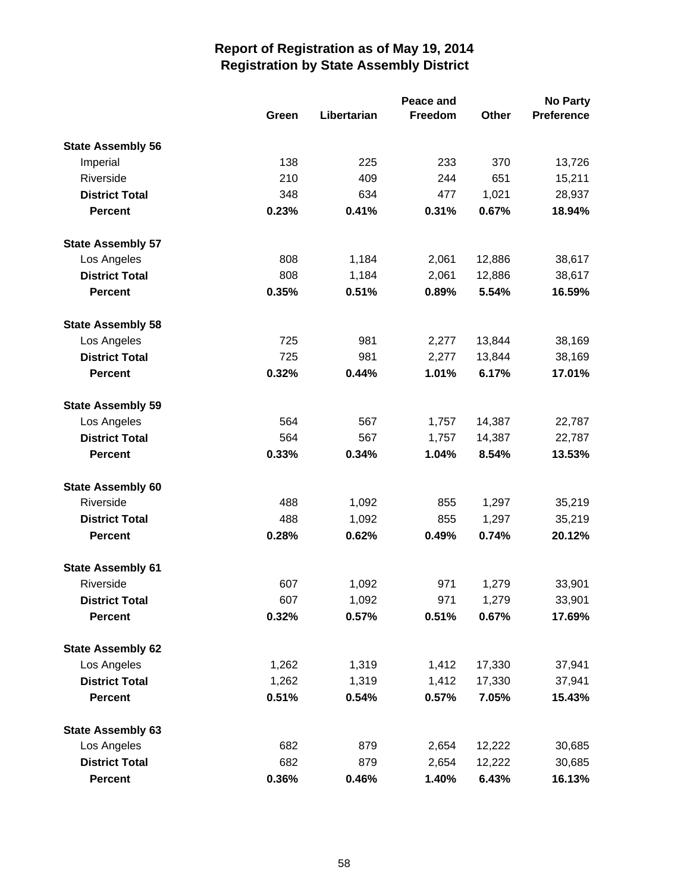|                          |       | Peace and   |         |              |                   |
|--------------------------|-------|-------------|---------|--------------|-------------------|
|                          | Green | Libertarian | Freedom | <b>Other</b> | <b>Preference</b> |
| <b>State Assembly 56</b> |       |             |         |              |                   |
| Imperial                 | 138   | 225         | 233     | 370          | 13,726            |
| Riverside                | 210   | 409         | 244     | 651          | 15,211            |
| <b>District Total</b>    | 348   | 634         | 477     | 1,021        | 28,937            |
| <b>Percent</b>           | 0.23% | 0.41%       | 0.31%   | 0.67%        | 18.94%            |
| <b>State Assembly 57</b> |       |             |         |              |                   |
| Los Angeles              | 808   | 1,184       | 2,061   | 12,886       | 38,617            |
| <b>District Total</b>    | 808   | 1,184       | 2,061   | 12,886       | 38,617            |
| <b>Percent</b>           | 0.35% | 0.51%       | 0.89%   | 5.54%        | 16.59%            |
| <b>State Assembly 58</b> |       |             |         |              |                   |
| Los Angeles              | 725   | 981         | 2,277   | 13,844       | 38,169            |
| <b>District Total</b>    | 725   | 981         | 2,277   | 13,844       | 38,169            |
| <b>Percent</b>           | 0.32% | 0.44%       | 1.01%   | 6.17%        | 17.01%            |
| <b>State Assembly 59</b> |       |             |         |              |                   |
| Los Angeles              | 564   | 567         | 1,757   | 14,387       | 22,787            |
| <b>District Total</b>    | 564   | 567         | 1,757   | 14,387       | 22,787            |
| <b>Percent</b>           | 0.33% | 0.34%       | 1.04%   | 8.54%        | 13.53%            |
| <b>State Assembly 60</b> |       |             |         |              |                   |
| Riverside                | 488   | 1,092       | 855     | 1,297        | 35,219            |
| <b>District Total</b>    | 488   | 1,092       | 855     | 1,297        | 35,219            |
| <b>Percent</b>           | 0.28% | 0.62%       | 0.49%   | 0.74%        | 20.12%            |
| <b>State Assembly 61</b> |       |             |         |              |                   |
| Riverside                | 607   | 1,092       | 971     | 1,279        | 33,901            |
| <b>District Total</b>    | 607   | 1,092       | 971     | 1,279        | 33,901            |
| <b>Percent</b>           | 0.32% | 0.57%       | 0.51%   | 0.67%        | 17.69%            |
| <b>State Assembly 62</b> |       |             |         |              |                   |
| Los Angeles              | 1,262 | 1,319       | 1,412   | 17,330       | 37,941            |
| <b>District Total</b>    | 1,262 | 1,319       | 1,412   | 17,330       | 37,941            |
| <b>Percent</b>           | 0.51% | 0.54%       | 0.57%   | 7.05%        | 15.43%            |
| <b>State Assembly 63</b> |       |             |         |              |                   |
| Los Angeles              | 682   | 879         | 2,654   | 12,222       | 30,685            |
| <b>District Total</b>    | 682   | 879         | 2,654   | 12,222       | 30,685            |
| <b>Percent</b>           | 0.36% | 0.46%       | 1.40%   | 6.43%        | 16.13%            |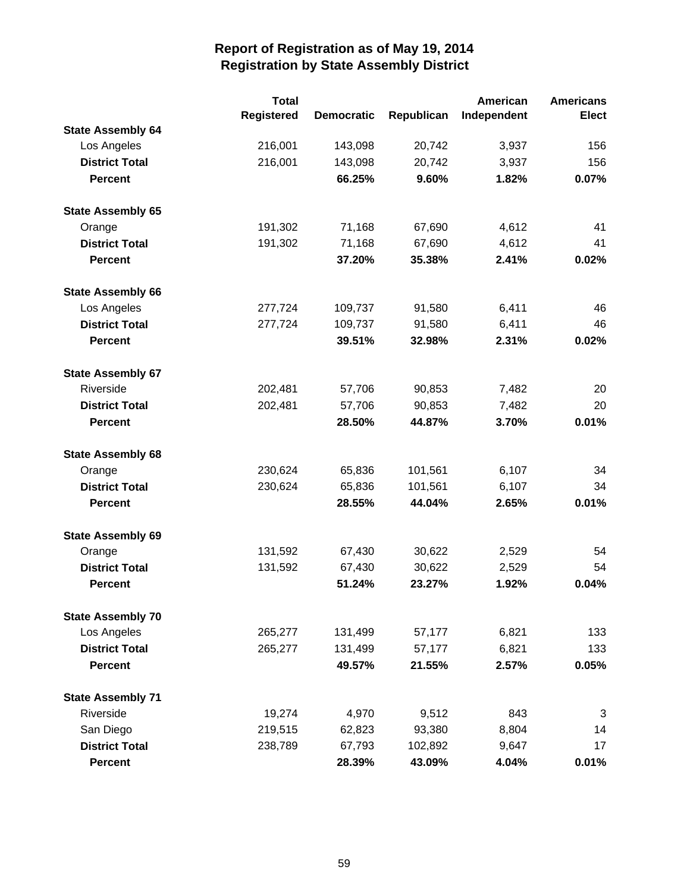|                          | <b>Total</b>      |                   |            | <b>American</b> | <b>Americans</b> |
|--------------------------|-------------------|-------------------|------------|-----------------|------------------|
|                          | <b>Registered</b> | <b>Democratic</b> | Republican | Independent     | <b>Elect</b>     |
| <b>State Assembly 64</b> |                   |                   |            |                 |                  |
| Los Angeles              | 216,001           | 143,098           | 20,742     | 3,937           | 156              |
| <b>District Total</b>    | 216,001           | 143,098           | 20,742     | 3,937           | 156              |
| <b>Percent</b>           |                   | 66.25%            | 9.60%      | 1.82%           | 0.07%            |
| <b>State Assembly 65</b> |                   |                   |            |                 |                  |
| Orange                   | 191,302           | 71,168            | 67,690     | 4,612           | 41               |
| <b>District Total</b>    | 191,302           | 71,168            | 67,690     | 4,612           | 41               |
| <b>Percent</b>           |                   | 37.20%            | 35.38%     | 2.41%           | 0.02%            |
| <b>State Assembly 66</b> |                   |                   |            |                 |                  |
| Los Angeles              | 277,724           | 109,737           | 91,580     | 6,411           | 46               |
| <b>District Total</b>    | 277,724           | 109,737           | 91,580     | 6,411           | 46               |
| <b>Percent</b>           |                   | 39.51%            | 32.98%     | 2.31%           | 0.02%            |
| <b>State Assembly 67</b> |                   |                   |            |                 |                  |
| Riverside                | 202,481           | 57,706            | 90,853     | 7,482           | 20               |
| <b>District Total</b>    | 202,481           | 57,706            | 90,853     | 7,482           | 20               |
| <b>Percent</b>           |                   | 28.50%            | 44.87%     | 3.70%           | 0.01%            |
| <b>State Assembly 68</b> |                   |                   |            |                 |                  |
| Orange                   | 230,624           | 65,836            | 101,561    | 6,107           | 34               |
| <b>District Total</b>    | 230,624           | 65,836            | 101,561    | 6,107           | 34               |
| <b>Percent</b>           |                   | 28.55%            | 44.04%     | 2.65%           | 0.01%            |
| <b>State Assembly 69</b> |                   |                   |            |                 |                  |
| Orange                   | 131,592           | 67,430            | 30,622     | 2,529           | 54               |
| <b>District Total</b>    | 131,592           | 67,430            | 30,622     | 2,529           | 54               |
| <b>Percent</b>           |                   | 51.24%            | 23.27%     | 1.92%           | 0.04%            |
| <b>State Assembly 70</b> |                   |                   |            |                 |                  |
| Los Angeles              | 265,277           | 131,499           | 57,177     | 6,821           | 133              |
| <b>District Total</b>    | 265,277           | 131,499           | 57,177     | 6,821           | 133              |
| <b>Percent</b>           |                   | 49.57%            | 21.55%     | 2.57%           | 0.05%            |
| <b>State Assembly 71</b> |                   |                   |            |                 |                  |
| Riverside                | 19,274            | 4,970             | 9,512      | 843             | 3                |
| San Diego                | 219,515           | 62,823            | 93,380     | 8,804           | 14               |
| <b>District Total</b>    | 238,789           | 67,793            | 102,892    | 9,647           | 17               |
| <b>Percent</b>           |                   | 28.39%            | 43.09%     | 4.04%           | 0.01%            |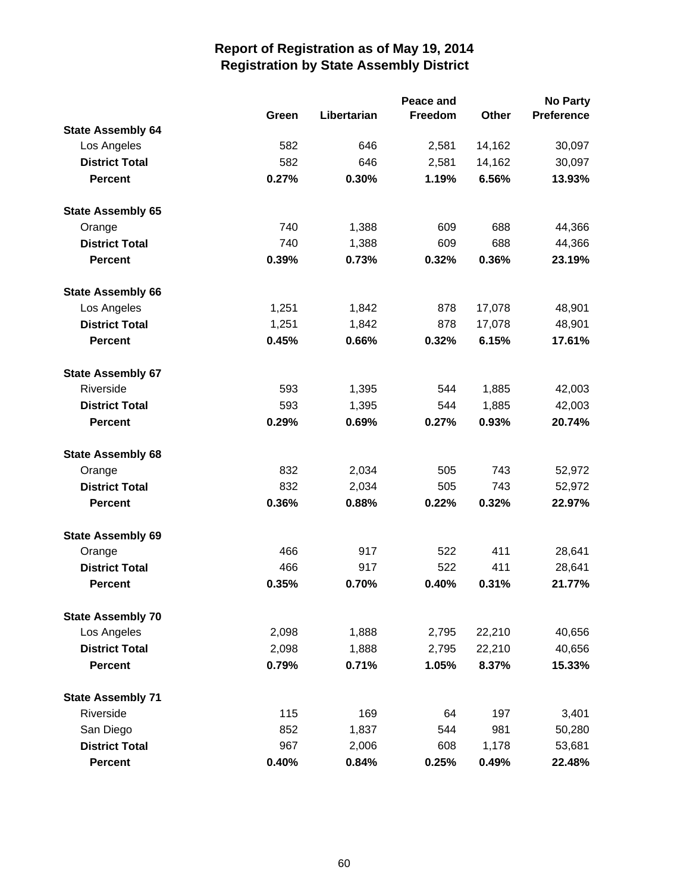|                          | Peace and |             |         |              | <b>No Party</b>   |  |
|--------------------------|-----------|-------------|---------|--------------|-------------------|--|
|                          | Green     | Libertarian | Freedom | <b>Other</b> | <b>Preference</b> |  |
| <b>State Assembly 64</b> |           |             |         |              |                   |  |
| Los Angeles              | 582       | 646         | 2,581   | 14,162       | 30,097            |  |
| <b>District Total</b>    | 582       | 646         | 2,581   | 14,162       | 30,097            |  |
| <b>Percent</b>           | 0.27%     | 0.30%       | 1.19%   | 6.56%        | 13.93%            |  |
| <b>State Assembly 65</b> |           |             |         |              |                   |  |
| Orange                   | 740       | 1,388       | 609     | 688          | 44,366            |  |
| <b>District Total</b>    | 740       | 1,388       | 609     | 688          | 44,366            |  |
| <b>Percent</b>           | 0.39%     | 0.73%       | 0.32%   | 0.36%        | 23.19%            |  |
| <b>State Assembly 66</b> |           |             |         |              |                   |  |
| Los Angeles              | 1,251     | 1,842       | 878     | 17,078       | 48,901            |  |
| <b>District Total</b>    | 1,251     | 1,842       | 878     | 17,078       | 48,901            |  |
| <b>Percent</b>           | 0.45%     | 0.66%       | 0.32%   | 6.15%        | 17.61%            |  |
| <b>State Assembly 67</b> |           |             |         |              |                   |  |
| Riverside                | 593       | 1,395       | 544     | 1,885        | 42,003            |  |
| <b>District Total</b>    | 593       | 1,395       | 544     | 1,885        | 42,003            |  |
| <b>Percent</b>           | 0.29%     | 0.69%       | 0.27%   | 0.93%        | 20.74%            |  |
| <b>State Assembly 68</b> |           |             |         |              |                   |  |
| Orange                   | 832       | 2,034       | 505     | 743          | 52,972            |  |
| <b>District Total</b>    | 832       | 2,034       | 505     | 743          | 52,972            |  |
| <b>Percent</b>           | 0.36%     | 0.88%       | 0.22%   | 0.32%        | 22.97%            |  |
| <b>State Assembly 69</b> |           |             |         |              |                   |  |
| Orange                   | 466       | 917         | 522     | 411          | 28,641            |  |
| <b>District Total</b>    | 466       | 917         | 522     | 411          | 28,641            |  |
| <b>Percent</b>           | 0.35%     | 0.70%       | 0.40%   | 0.31%        | 21.77%            |  |
| <b>State Assembly 70</b> |           |             |         |              |                   |  |
| Los Angeles              | 2,098     | 1,888       | 2,795   | 22,210       | 40,656            |  |
| <b>District Total</b>    | 2,098     | 1,888       | 2,795   | 22,210       | 40,656            |  |
| <b>Percent</b>           | 0.79%     | 0.71%       | 1.05%   | 8.37%        | 15.33%            |  |
| <b>State Assembly 71</b> |           |             |         |              |                   |  |
| Riverside                | 115       | 169         | 64      | 197          | 3,401             |  |
| San Diego                | 852       | 1,837       | 544     | 981          | 50,280            |  |
| <b>District Total</b>    | 967       | 2,006       | 608     | 1,178        | 53,681            |  |
| <b>Percent</b>           | 0.40%     | 0.84%       | 0.25%   | 0.49%        | 22.48%            |  |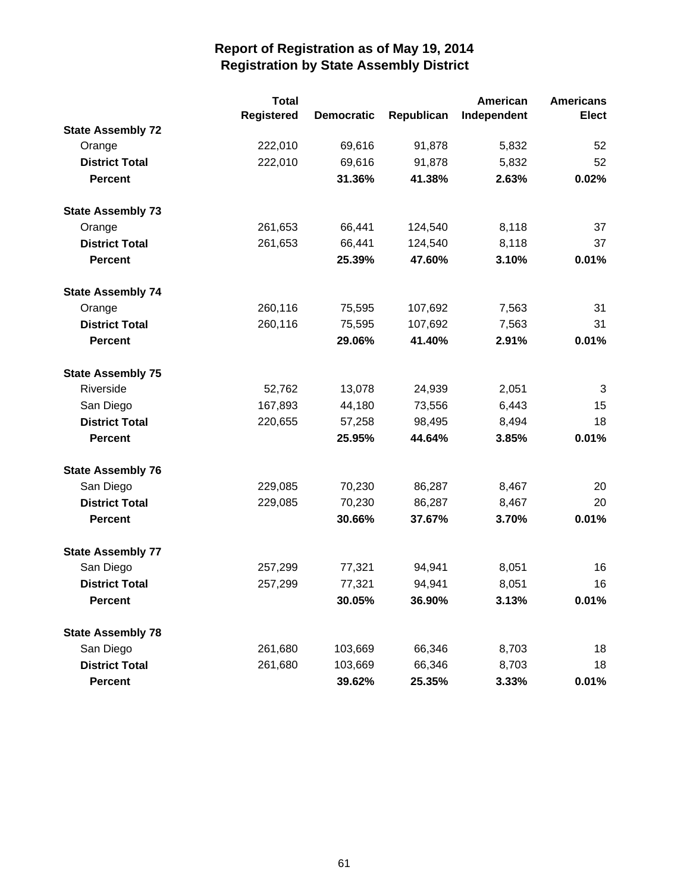|                          | <b>Total</b>      |                   |            | American    | <b>Americans</b> |
|--------------------------|-------------------|-------------------|------------|-------------|------------------|
|                          | <b>Registered</b> | <b>Democratic</b> | Republican | Independent | <b>Elect</b>     |
| <b>State Assembly 72</b> |                   |                   |            |             |                  |
| Orange                   | 222,010           | 69,616            | 91,878     | 5,832       | 52               |
| <b>District Total</b>    | 222,010           | 69,616            | 91,878     | 5,832       | 52               |
| <b>Percent</b>           |                   | 31.36%            | 41.38%     | 2.63%       | 0.02%            |
| <b>State Assembly 73</b> |                   |                   |            |             |                  |
| Orange                   | 261,653           | 66,441            | 124,540    | 8,118       | 37               |
| <b>District Total</b>    | 261,653           | 66,441            | 124,540    | 8,118       | 37               |
| <b>Percent</b>           |                   | 25.39%            | 47.60%     | 3.10%       | 0.01%            |
| <b>State Assembly 74</b> |                   |                   |            |             |                  |
| Orange                   | 260,116           | 75,595            | 107,692    | 7,563       | 31               |
| <b>District Total</b>    | 260,116           | 75,595            | 107,692    | 7,563       | 31               |
| <b>Percent</b>           |                   | 29.06%            | 41.40%     | 2.91%       | 0.01%            |
| <b>State Assembly 75</b> |                   |                   |            |             |                  |
| Riverside                | 52,762            | 13,078            | 24,939     | 2,051       | 3                |
| San Diego                | 167,893           | 44,180            | 73,556     | 6,443       | 15               |
| <b>District Total</b>    | 220,655           | 57,258            | 98,495     | 8,494       | 18               |
| <b>Percent</b>           |                   | 25.95%            | 44.64%     | 3.85%       | 0.01%            |
| <b>State Assembly 76</b> |                   |                   |            |             |                  |
| San Diego                | 229,085           | 70,230            | 86,287     | 8,467       | 20               |
| <b>District Total</b>    | 229,085           | 70,230            | 86,287     | 8,467       | 20               |
| <b>Percent</b>           |                   | 30.66%            | 37.67%     | 3.70%       | 0.01%            |
| <b>State Assembly 77</b> |                   |                   |            |             |                  |
| San Diego                | 257,299           | 77,321            | 94,941     | 8,051       | 16               |
| <b>District Total</b>    | 257,299           | 77,321            | 94,941     | 8,051       | 16               |
| Percent                  |                   | 30.05%            | 36.90%     | 3.13%       | 0.01%            |
| <b>State Assembly 78</b> |                   |                   |            |             |                  |
| San Diego                | 261,680           | 103,669           | 66,346     | 8,703       | 18               |
| <b>District Total</b>    | 261,680           | 103,669           | 66,346     | 8,703       | 18               |
| <b>Percent</b>           |                   | 39.62%            | 25.35%     | 3.33%       | 0.01%            |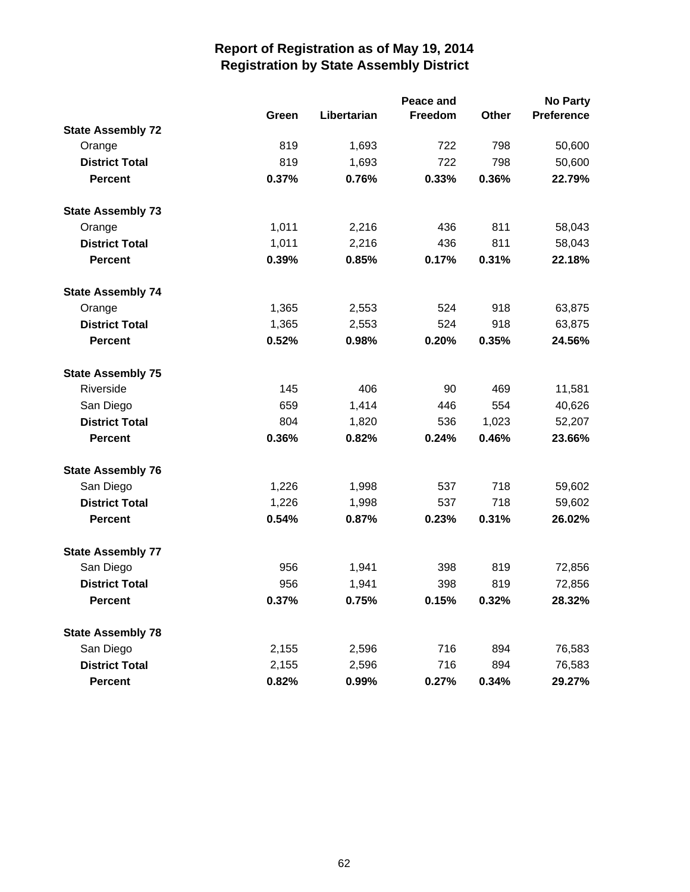|                          |       |             | Peace and |              | No Party          |
|--------------------------|-------|-------------|-----------|--------------|-------------------|
|                          | Green | Libertarian | Freedom   | <b>Other</b> | <b>Preference</b> |
| <b>State Assembly 72</b> |       |             |           |              |                   |
| Orange                   | 819   | 1,693       | 722       | 798          | 50,600            |
| <b>District Total</b>    | 819   | 1,693       | 722       | 798          | 50,600            |
| <b>Percent</b>           | 0.37% | 0.76%       | 0.33%     | 0.36%        | 22.79%            |
| <b>State Assembly 73</b> |       |             |           |              |                   |
| Orange                   | 1,011 | 2,216       | 436       | 811          | 58,043            |
| <b>District Total</b>    | 1,011 | 2,216       | 436       | 811          | 58,043            |
| <b>Percent</b>           | 0.39% | 0.85%       | 0.17%     | 0.31%        | 22.18%            |
| <b>State Assembly 74</b> |       |             |           |              |                   |
| Orange                   | 1,365 | 2,553       | 524       | 918          | 63,875            |
| <b>District Total</b>    | 1,365 | 2,553       | 524       | 918          | 63,875            |
| <b>Percent</b>           | 0.52% | 0.98%       | 0.20%     | 0.35%        | 24.56%            |
| <b>State Assembly 75</b> |       |             |           |              |                   |
| Riverside                | 145   | 406         | 90        | 469          | 11,581            |
| San Diego                | 659   | 1,414       | 446       | 554          | 40,626            |
| <b>District Total</b>    | 804   | 1,820       | 536       | 1,023        | 52,207            |
| <b>Percent</b>           | 0.36% | 0.82%       | 0.24%     | 0.46%        | 23.66%            |
| <b>State Assembly 76</b> |       |             |           |              |                   |
| San Diego                | 1,226 | 1,998       | 537       | 718          | 59,602            |
| <b>District Total</b>    | 1,226 | 1,998       | 537       | 718          | 59,602            |
| <b>Percent</b>           | 0.54% | 0.87%       | 0.23%     | 0.31%        | 26.02%            |
| <b>State Assembly 77</b> |       |             |           |              |                   |
| San Diego                | 956   | 1,941       | 398       | 819          | 72,856            |
| <b>District Total</b>    | 956   | 1,941       | 398       | 819          | 72,856            |
| <b>Percent</b>           | 0.37% | 0.75%       | 0.15%     | 0.32%        | 28.32%            |
| <b>State Assembly 78</b> |       |             |           |              |                   |
| San Diego                | 2,155 | 2,596       | 716       | 894          | 76,583            |
| <b>District Total</b>    | 2,155 | 2,596       | 716       | 894          | 76,583            |
| Percent                  | 0.82% | 0.99%       | 0.27%     | 0.34%        | 29.27%            |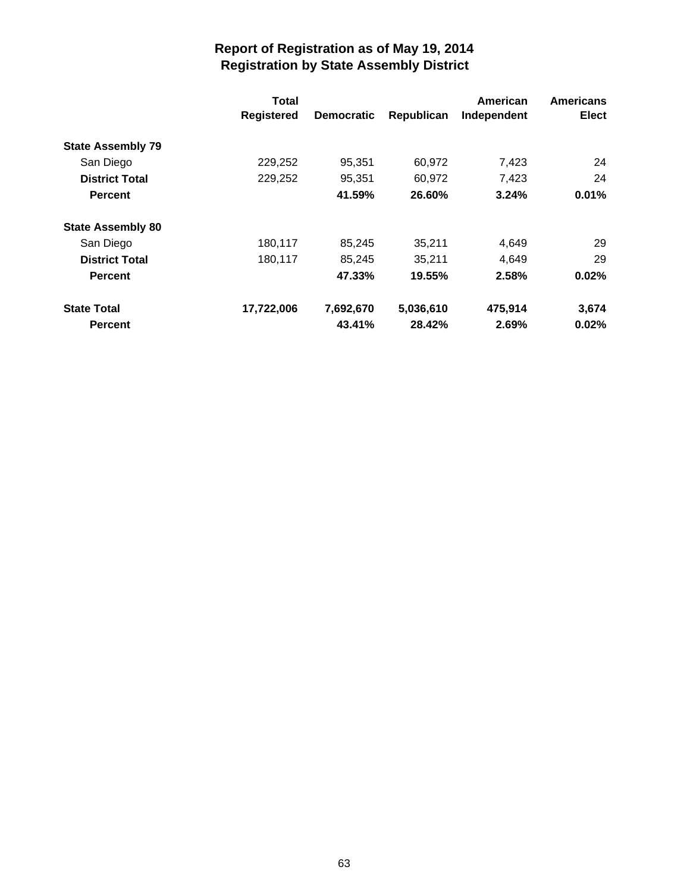|                          | Total<br><b>Registered</b> | <b>Democratic</b> | Republican | American<br>Independent | <b>Americans</b><br><b>Elect</b> |
|--------------------------|----------------------------|-------------------|------------|-------------------------|----------------------------------|
| <b>State Assembly 79</b> |                            |                   |            |                         |                                  |
| San Diego                | 229,252                    | 95,351            | 60,972     | 7,423                   | 24                               |
| <b>District Total</b>    | 229,252                    | 95,351            | 60,972     | 7,423                   | 24                               |
| <b>Percent</b>           |                            | 41.59%            | 26.60%     | 3.24%                   | $0.01\%$                         |
| <b>State Assembly 80</b> |                            |                   |            |                         |                                  |
| San Diego                | 180,117                    | 85,245            | 35,211     | 4,649                   | 29                               |
| <b>District Total</b>    | 180,117                    | 85,245            | 35,211     | 4,649                   | 29                               |
| <b>Percent</b>           |                            | 47.33%            | 19.55%     | 2.58%                   | 0.02%                            |
| <b>State Total</b>       | 17,722,006                 | 7,692,670         | 5,036,610  | 475,914                 | 3,674                            |
| <b>Percent</b>           |                            | 43.41%            | 28.42%     | 2.69%                   | 0.02%                            |